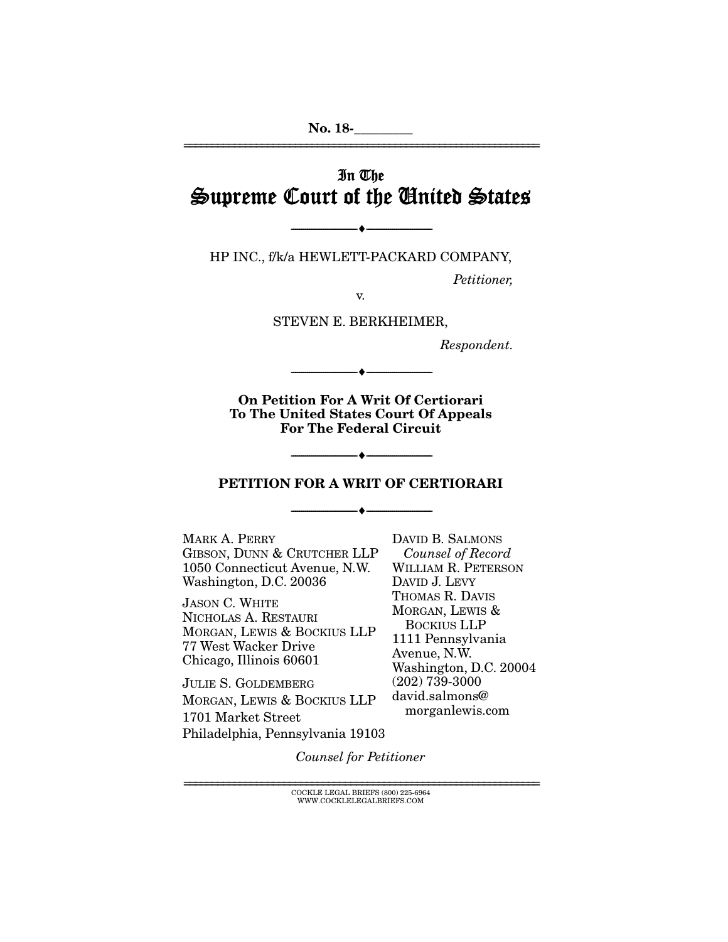# In The Supreme Court of the United States

================================================================

HP INC., f/k/a HEWLETT-PACKARD COMPANY,

 $- \bullet -$ 

Petitioner,

v.

STEVEN E. BERKHEIMER,

Respondent.

**On Petition For A Writ Of Certiorari To The United States Court Of Appeals For The Federal Circuit** 

--------------------------------- ---------------------------------

#### **PETITION FOR A WRIT OF CERTIORARI**

 $\bullet$   $-$ 

--------------------------------- ---------------------------------

MARK A. PERRY GIBSON, DUNN & CRUTCHER LLP 1050 Connecticut Avenue, N.W. Washington, D.C. 20036

JASON C. WHITE NICHOLAS A. RESTAURI MORGAN, LEWIS & BOCKIUS LLP 77 West Wacker Drive Chicago, Illinois 60601

JULIE S. GOLDEMBERG MORGAN, LEWIS & BOCKIUS LLP 1701 Market Street Philadelphia, Pennsylvania 19103

DAVID B. SALMONS Counsel of Record WILLIAM R. PETERSON DAVID J. LEVY THOMAS R. DAVIS MORGAN, LEWIS & BOCKIUS LLP 1111 Pennsylvania Avenue, N.W. Washington, D.C. 20004 (202) 739-3000 david.salmons@ morganlewis.com

Counsel for Petitioner

================================================================ COCKLE LEGAL BRIEFS (800) 225-6964 WWW.COCKLELEGALBRIEFS.COM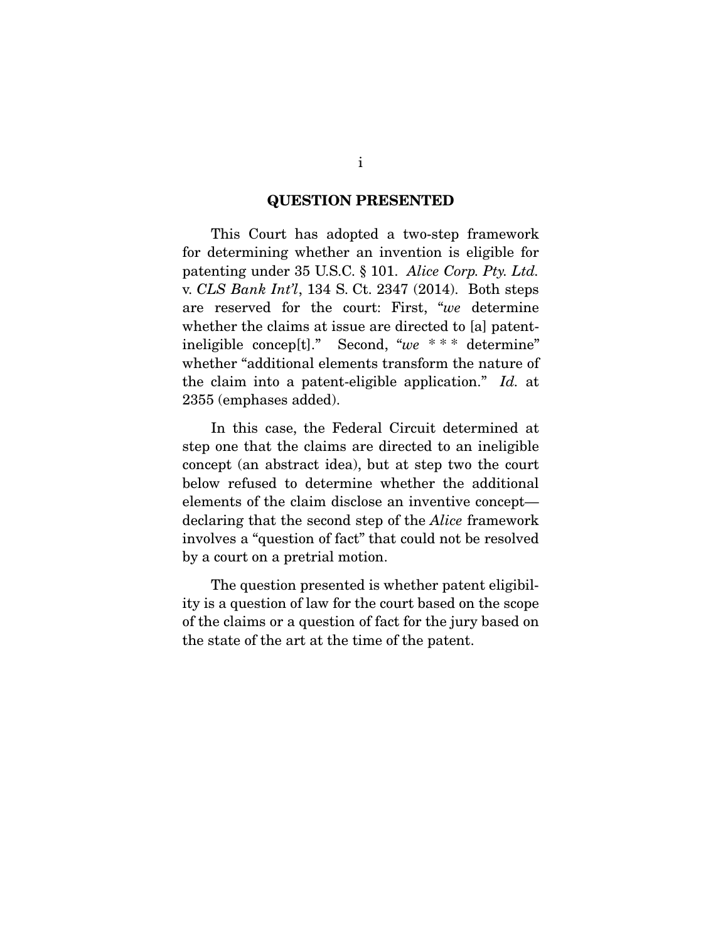#### **QUESTION PRESENTED**

 This Court has adopted a two-step framework for determining whether an invention is eligible for patenting under 35 U.S.C. § 101. *Alice Corp. Pty. Ltd.* v. *CLS Bank Int'l*, 134 S. Ct. 2347 (2014). Both steps are reserved for the court: First, "*we* determine whether the claims at issue are directed to [a] patentineligible concep[t]." Second, "*we* \* \* \* determine" whether "additional elements transform the nature of the claim into a patent-eligible application." *Id.* at 2355 (emphases added).

 In this case, the Federal Circuit determined at step one that the claims are directed to an ineligible concept (an abstract idea), but at step two the court below refused to determine whether the additional elements of the claim disclose an inventive concept declaring that the second step of the *Alice* framework involves a "question of fact" that could not be resolved by a court on a pretrial motion.

 The question presented is whether patent eligibility is a question of law for the court based on the scope of the claims or a question of fact for the jury based on the state of the art at the time of the patent.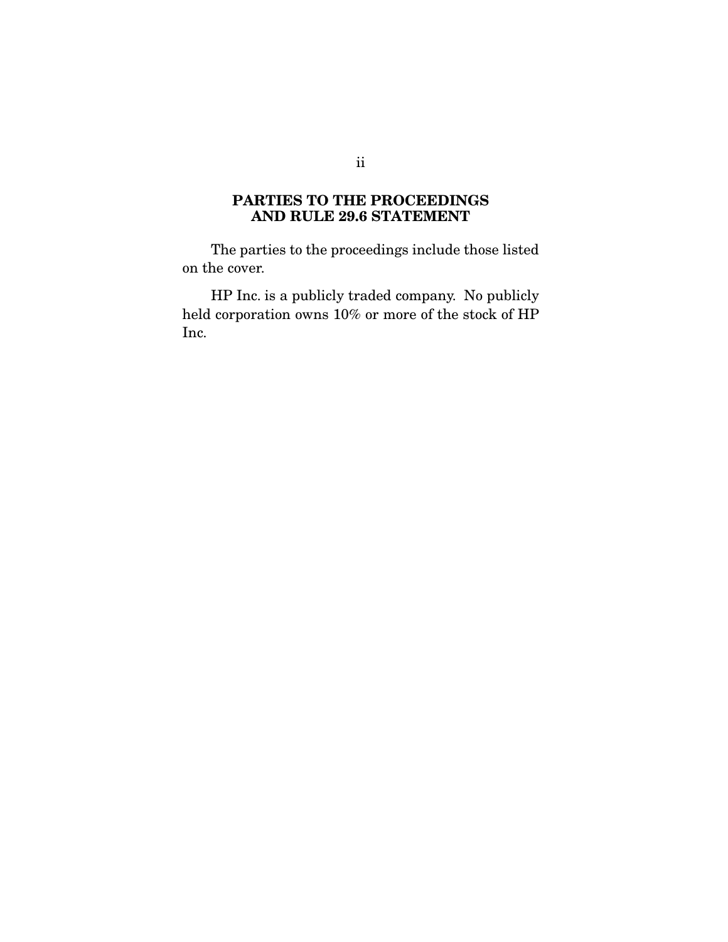## **PARTIES TO THE PROCEEDINGS AND RULE 29.6 STATEMENT**

 The parties to the proceedings include those listed on the cover.

 HP Inc. is a publicly traded company. No publicly held corporation owns 10% or more of the stock of HP Inc.

ii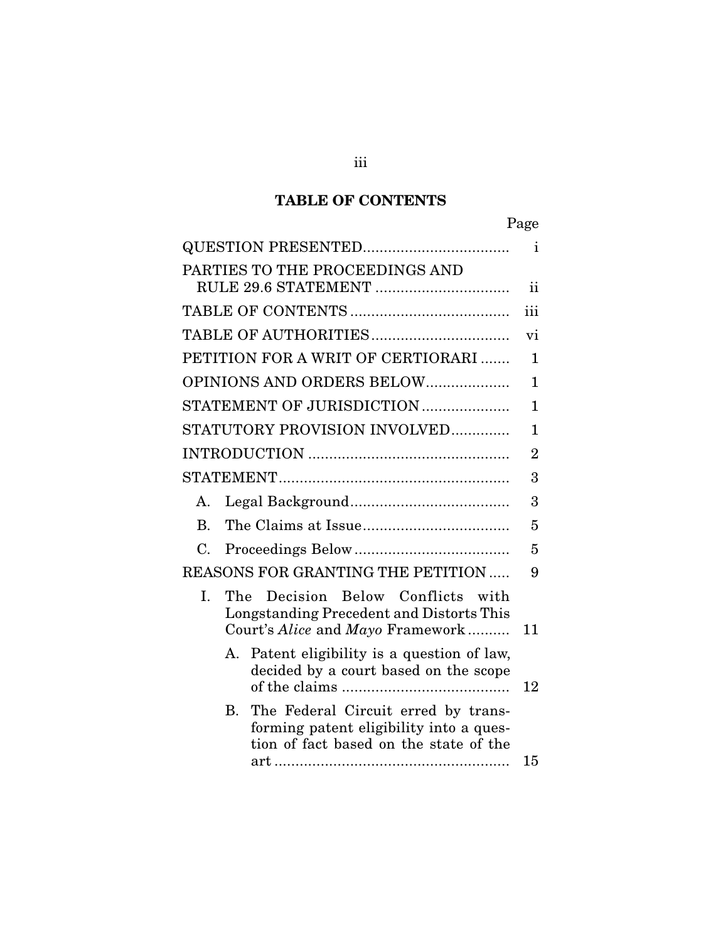# **TABLE OF CONTENTS**

|              |                                                                                                                          | Page           |
|--------------|--------------------------------------------------------------------------------------------------------------------------|----------------|
|              |                                                                                                                          | i              |
|              | PARTIES TO THE PROCEEDINGS AND                                                                                           | ii             |
|              |                                                                                                                          | iii            |
|              |                                                                                                                          | vi             |
|              | PETITION FOR A WRIT OF CERTIORARI                                                                                        | $\mathbf{1}$   |
|              | OPINIONS AND ORDERS BELOW                                                                                                | $\mathbf{1}$   |
|              | STATEMENT OF JURISDICTION                                                                                                | $\mathbf 1$    |
|              | STATUTORY PROVISION INVOLVED                                                                                             | 1              |
|              |                                                                                                                          | $\overline{2}$ |
|              |                                                                                                                          | 3              |
| А.           |                                                                                                                          | 3              |
| <b>B.</b>    |                                                                                                                          | 5              |
| C.           |                                                                                                                          | 5              |
|              | <b>REASONS FOR GRANTING THE PETITION </b>                                                                                | 9              |
| I.<br>The    | Decision Below Conflicts<br>with<br>Longstanding Precedent and Distorts This<br>Court's Alice and Mayo Framework         | 11             |
| A.           | Patent eligibility is a question of law,<br>decided by a court based on the scope                                        | 12             |
| $\mathbf{B}$ | The Federal Circuit erred by trans-<br>forming patent eligibility into a ques-<br>tion of fact based on the state of the | 15             |
|              |                                                                                                                          |                |

iii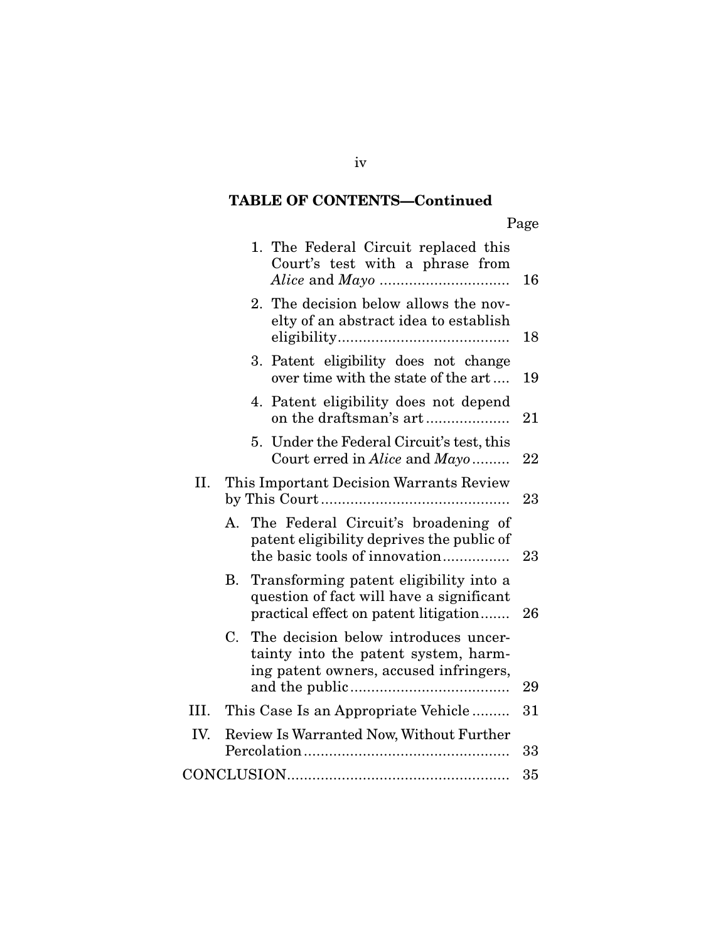# **TABLE OF CONTENTS—Continued**

Page

|      | 1. The Federal Circuit replaced this<br>Court's test with a phrase from                                                     | 16 |
|------|-----------------------------------------------------------------------------------------------------------------------------|----|
|      | 2. The decision below allows the nov-<br>elty of an abstract idea to establish                                              | 18 |
|      | Patent eligibility does not change<br>3.<br>over time with the state of the art                                             | 19 |
|      | 4. Patent eligibility does not depend<br>on the draftsman's art                                                             | 21 |
|      | 5. Under the Federal Circuit's test, this<br>Court erred in Alice and Mayo                                                  | 22 |
| Н.   | This Important Decision Warrants Review                                                                                     | 23 |
|      | A. The Federal Circuit's broadening of<br>patent eligibility deprives the public of<br>the basic tools of innovation        | 23 |
| В.   | Transforming patent eligibility into a<br>question of fact will have a significant<br>practical effect on patent litigation | 26 |
| C.   | The decision below introduces uncer-<br>tainty into the patent system, harm-<br>ing patent owners, accused infringers,      | 29 |
| III. | This Case Is an Appropriate Vehicle                                                                                         | 31 |
| IV.  | Review Is Warranted Now, Without Further                                                                                    | 33 |
|      |                                                                                                                             | 35 |

iv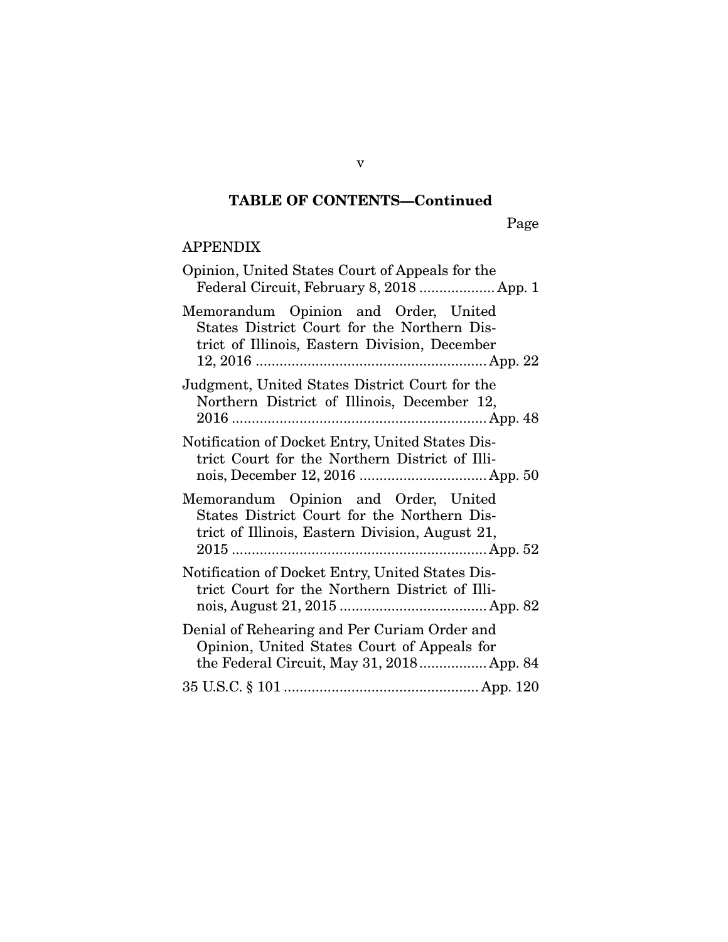# **TABLE OF CONTENTS—Continued**

Page

# APPENDIX

| Opinion, United States Court of Appeals for the<br>Federal Circuit, February 8, 2018  App. 1                                             |
|------------------------------------------------------------------------------------------------------------------------------------------|
| Memorandum Opinion and Order, United<br>States District Court for the Northern Dis-<br>trict of Illinois, Eastern Division, December     |
| Judgment, United States District Court for the<br>Northern District of Illinois, December 12,                                            |
| Notification of Docket Entry, United States Dis-<br>trict Court for the Northern District of Illi-                                       |
| Memorandum Opinion and Order, United<br>States District Court for the Northern Dis-<br>trict of Illinois, Eastern Division, August 21,   |
| Notification of Docket Entry, United States Dis-<br>trict Court for the Northern District of Illi-                                       |
| Denial of Rehearing and Per Curiam Order and<br>Opinion, United States Court of Appeals for<br>the Federal Circuit, May 31, 2018 App. 84 |
|                                                                                                                                          |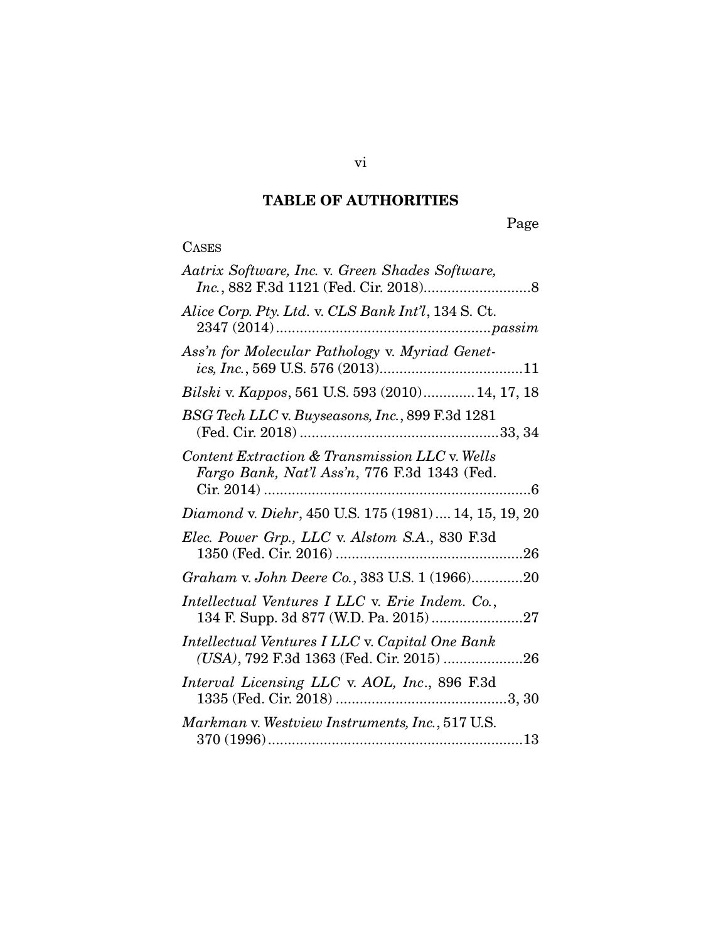# **TABLE OF AUTHORITIES**

Page

# CASES

| Aatrix Software, Inc. v. Green Shades Software,                                                |
|------------------------------------------------------------------------------------------------|
| Alice Corp. Pty. Ltd. v. CLS Bank Int'l, 134 S. Ct.                                            |
| Ass'n for Molecular Pathology v. Myriad Genet-                                                 |
| Bilski v. Kappos, 561 U.S. 593 (2010) 14, 17, 18                                               |
| BSG Tech LLC v. Buyseasons, Inc., 899 F.3d 1281                                                |
| Content Extraction & Transmission LLC v. Wells<br>Fargo Bank, Nat'l Ass'n, 776 F.3d 1343 (Fed. |
| Diamond v. Diehr, 450 U.S. 175 (1981)  14, 15, 19, 20                                          |
| Elec. Power Grp., LLC v. Alstom S.A., 830 F.3d                                                 |
| Graham v. John Deere Co., 383 U.S. 1 (1966)20                                                  |
| Intellectual Ventures I LLC v. Erie Indem. Co.,                                                |
| Intellectual Ventures I LLC v. Capital One Bank<br>(USA), 792 F.3d 1363 (Fed. Cir. 2015) 26    |
| Interval Licensing LLC v. AOL, Inc., 896 F.3d                                                  |
| Markman v. Westview Instruments, Inc., 517 U.S.                                                |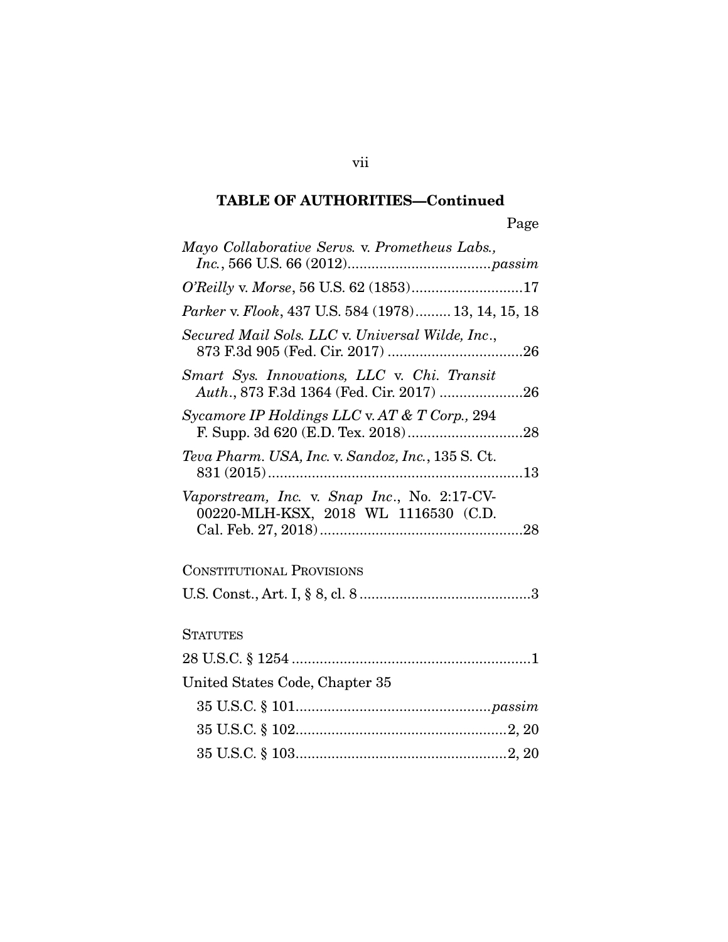# **TABLE OF AUTHORITIES—Continued**

| Mayo Collaborative Servs. v. Prometheus Labs.,                                       |
|--------------------------------------------------------------------------------------|
| O'Reilly v. Morse, 56 U.S. 62 (1853)17                                               |
| Parker v. Flook, 437 U.S. 584 (1978) 13, 14, 15, 18                                  |
| Secured Mail Sols. LLC v. Universal Wilde, Inc.,                                     |
| Smart Sys. Innovations, LLC v. Chi. Transit                                          |
| Sycamore IP Holdings LLC v. AT & T Corp., 294                                        |
| Teva Pharm. USA, Inc. v. Sandoz, Inc., 135 S. Ct.                                    |
| Vaporstream, Inc. v. Snap Inc., No. 2:17-CV-<br>00220-MLH-KSX, 2018 WL 1116530 (C.D. |
| <b>CONSTITUTIONAL PROVISIONS</b>                                                     |
|                                                                                      |
| <b>STATUTES</b>                                                                      |
|                                                                                      |
| United States Code, Chapter 35                                                       |
|                                                                                      |
|                                                                                      |
|                                                                                      |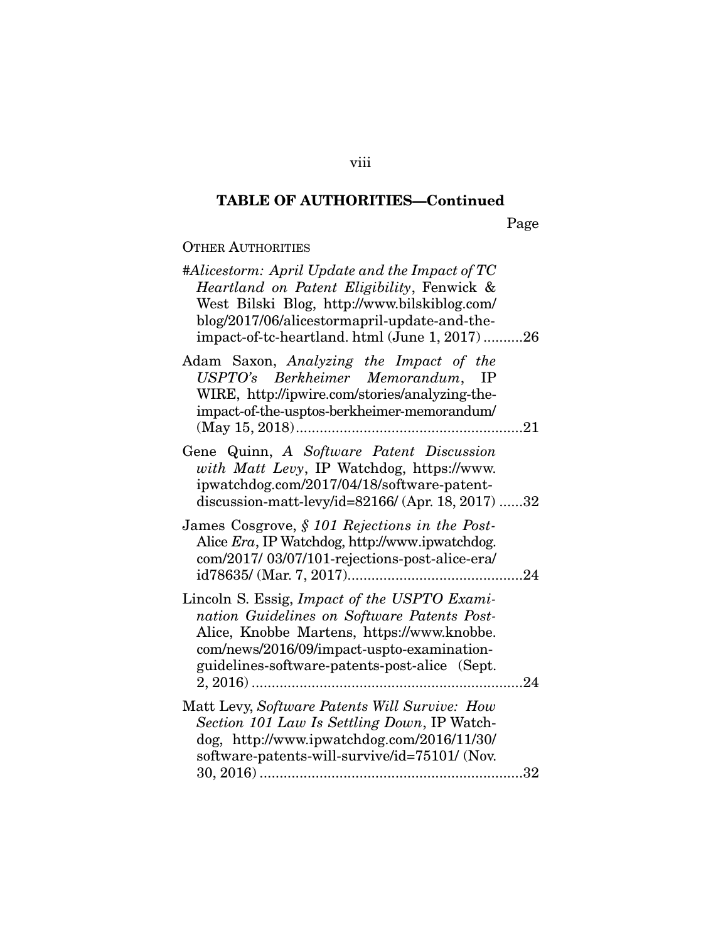# **TABLE OF AUTHORITIES—Continued**

Page

# OTHER AUTHORITIES

| #Alicestorm: April Update and the Impact of $TC$<br>Heartland on Patent Eligibility, Fenwick &<br>West Bilski Blog, http://www.bilskiblog.com/<br>blog/2017/06/alicestormapril-update-and-the-<br>impact-of-tc-heartland. html (June 1, 2017) 26 |
|--------------------------------------------------------------------------------------------------------------------------------------------------------------------------------------------------------------------------------------------------|
| Adam Saxon, Analyzing the Impact of the<br>USPTO's Berkheimer Memorandum, IP<br>WIRE, http://ipwire.com/stories/analyzing-the-<br>impact-of-the-usptos-berkheimer-memorandum/                                                                    |
| Gene Quinn, A Software Patent Discussion<br>with Matt Levy, IP Watchdog, https://www.<br>ipwatchdog.com/2017/04/18/software-patent-<br>discussion-matt-levy/id=82166/ (Apr. 18, 2017) 32                                                         |
| James Cosgrove, § 101 Rejections in the Post-<br>Alice Era, IP Watchdog, http://www.ipwatchdog.<br>com/2017/03/07/101-rejections-post-alice-era/<br>$\dots 24$                                                                                   |
| Lincoln S. Essig, Impact of the USPTO Exami-<br>nation Guidelines on Software Patents Post-<br>Alice, Knobbe Martens, https://www.knobbe.<br>com/news/2016/09/impact-uspto-examination-<br>guidelines-software-patents-post-alice (Sept.<br>.24  |
| Matt Levy, Software Patents Will Survive: How<br>Section 101 Law Is Settling Down, IP Watch-<br>dog, http://www.ipwatchdog.com/2016/11/30/<br>software-patents-will-survive/id=75101/ (Nov.                                                      |

# viii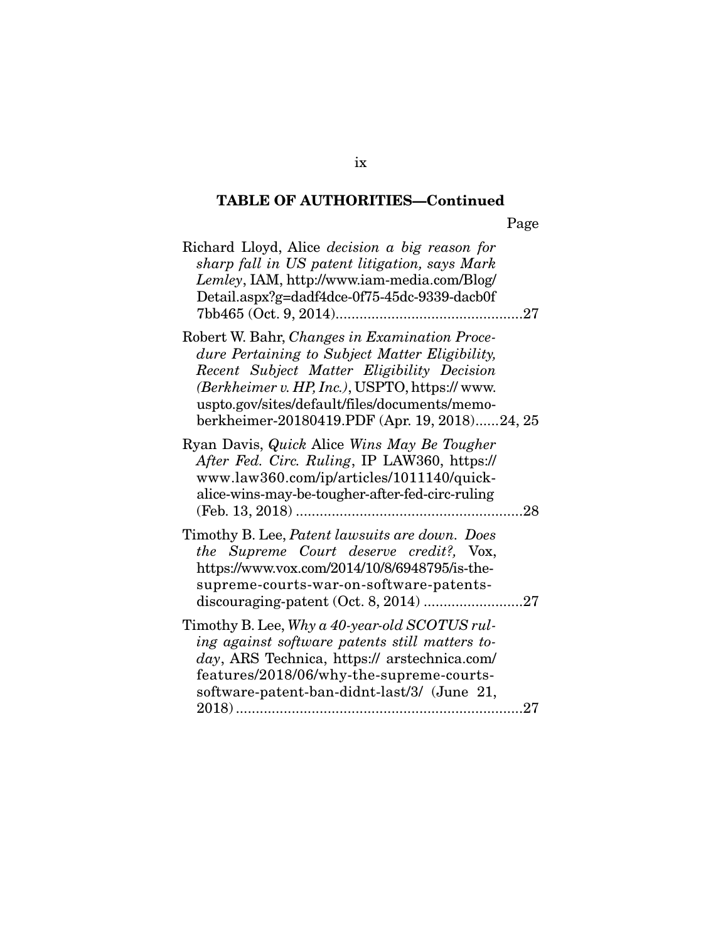# **TABLE OF AUTHORITIES—Continued**

Page

| Richard Lloyd, Alice <i>decision a big reason for</i><br>sharp fall in US patent litigation, says Mark<br>Lemley, IAM, http://www.iam-media.com/Blog/<br>Detail.aspx?g=dadf4dce-0f75-45dc-9339-dacb0f                                                                                            |
|--------------------------------------------------------------------------------------------------------------------------------------------------------------------------------------------------------------------------------------------------------------------------------------------------|
| Robert W. Bahr, Changes in Examination Proce-<br>dure Pertaining to Subject Matter Eligibility,<br>Recent Subject Matter Eligibility Decision<br>(Berkheimer v. HP, Inc.), USPTO, https://www.<br>uspto.gov/sites/default/files/documents/memo-<br>berkheimer-20180419.PDF (Apr. 19, 2018)24, 25 |
| Ryan Davis, Quick Alice Wins May Be Tougher<br>After Fed. Circ. Ruling, IP LAW360, https://<br>www.law360.com/ip/articles/1011140/quick-<br>alice-wins-may-be-tougher-after-fed-circ-ruling<br>28                                                                                                |
| Timothy B. Lee, Patent lawsuits are down. Does<br>the Supreme Court deserve credit?, Vox,<br>https://www.vox.com/2014/10/8/6948795/is-the-<br>supreme-courts-war-on-software-patents-                                                                                                            |
| Timothy B. Lee, Why a 40-year-old SCOTUS rul-<br>ing against software patents still matters to-<br>day, ARS Technica, https:// arstechnica.com/<br>features/2018/06/why-the-supreme-courts-<br>software-patent-ban-didnt-last/3/ (June 21,                                                       |

ix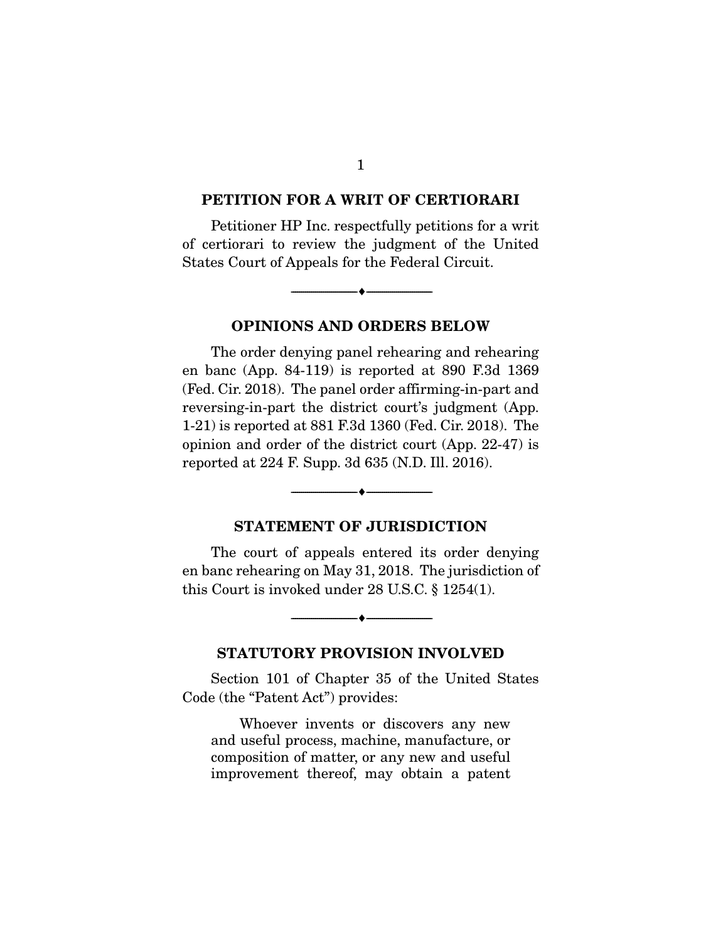#### **PETITION FOR A WRIT OF CERTIORARI**

 Petitioner HP Inc. respectfully petitions for a writ of certiorari to review the judgment of the United States Court of Appeals for the Federal Circuit.

**OPINIONS AND ORDERS BELOW** 

--------------------------------- ---------------------------------

 The order denying panel rehearing and rehearing en banc (App. 84-119) is reported at 890 F.3d 1369 (Fed. Cir. 2018). The panel order affirming-in-part and reversing-in-part the district court's judgment (App. 1-21) is reported at 881 F.3d 1360 (Fed. Cir. 2018). The opinion and order of the district court (App. 22-47) is reported at 224 F. Supp. 3d 635 (N.D. Ill. 2016).

#### **STATEMENT OF JURISDICTION**

--------------------------------- ---------------------------------

 The court of appeals entered its order denying en banc rehearing on May 31, 2018. The jurisdiction of this Court is invoked under 28 U.S.C. § 1254(1).

#### **STATUTORY PROVISION INVOLVED**

--------------------------------- ---------------------------------

 Section 101 of Chapter 35 of the United States Code (the "Patent Act") provides:

 Whoever invents or discovers any new and useful process, machine, manufacture, or composition of matter, or any new and useful improvement thereof, may obtain a patent

1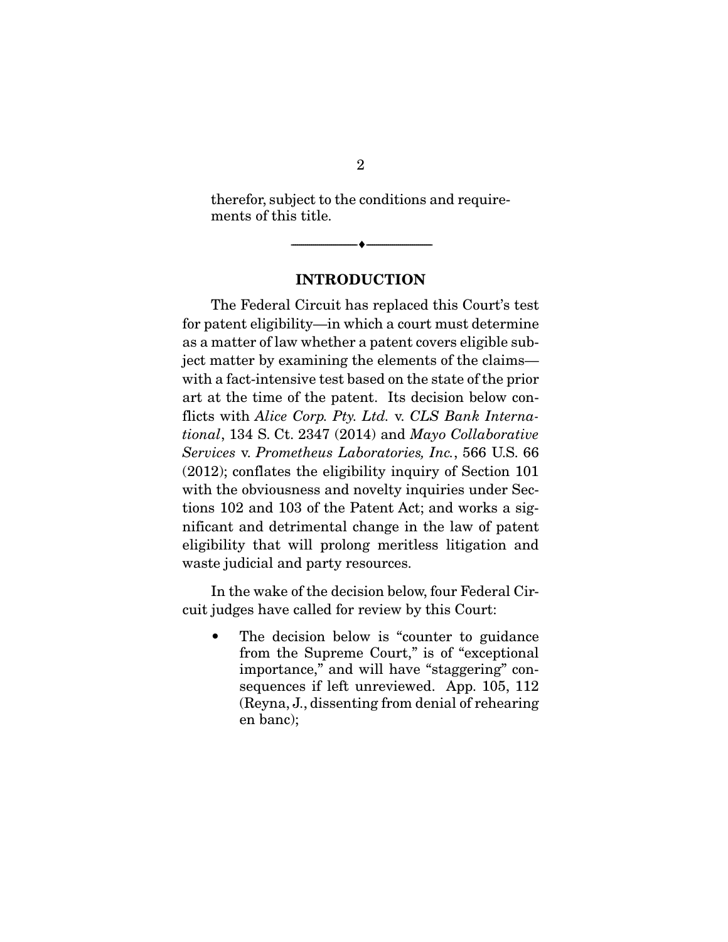therefor, subject to the conditions and requirements of this title.

--------------------------------- ---------------------------------

#### **INTRODUCTION**

 The Federal Circuit has replaced this Court's test for patent eligibility—in which a court must determine as a matter of law whether a patent covers eligible subject matter by examining the elements of the claims with a fact-intensive test based on the state of the prior art at the time of the patent. Its decision below conflicts with *Alice Corp. Pty. Ltd.* v. *CLS Bank International*, 134 S. Ct. 2347 (2014) and *Mayo Collaborative Services* v. *Prometheus Laboratories, Inc.*, 566 U.S. 66 (2012); conflates the eligibility inquiry of Section 101 with the obviousness and novelty inquiries under Sections 102 and 103 of the Patent Act; and works a significant and detrimental change in the law of patent eligibility that will prolong meritless litigation and waste judicial and party resources.

 In the wake of the decision below, four Federal Circuit judges have called for review by this Court:

• The decision below is "counter to guidance" from the Supreme Court," is of "exceptional importance," and will have "staggering" consequences if left unreviewed. App. 105, 112 (Reyna, J., dissenting from denial of rehearing en banc);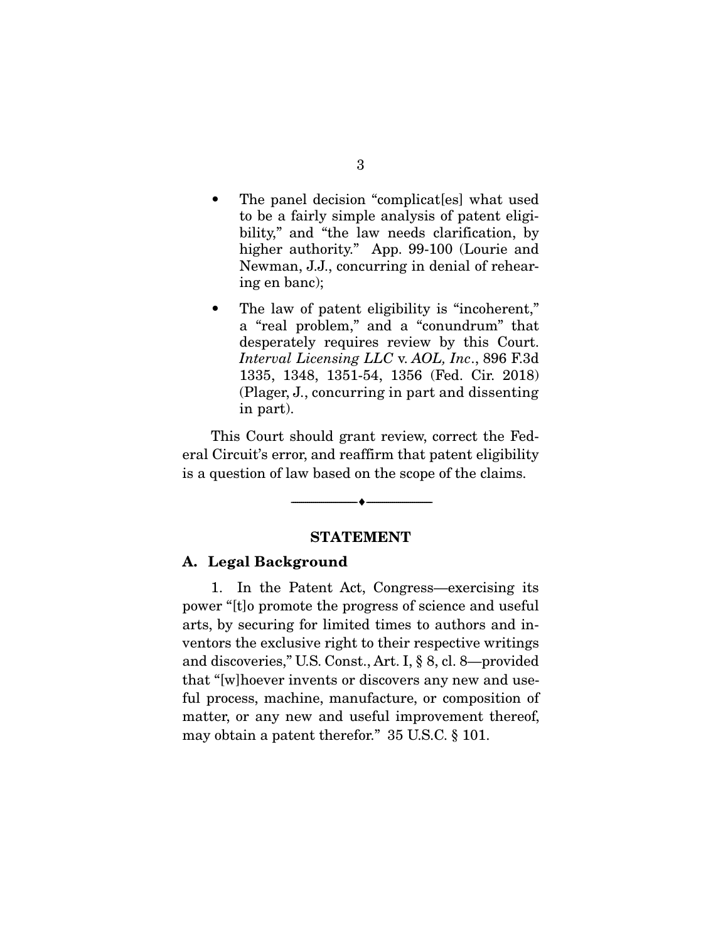- The panel decision "complicaterlies" what used to be a fairly simple analysis of patent eligibility," and "the law needs clarification, by higher authority." App. 99-100 (Lourie and Newman, J.J., concurring in denial of rehearing en banc);
- The law of patent eligibility is "incoherent," a "real problem," and a "conundrum" that desperately requires review by this Court. *Interval Licensing LLC* v. *AOL, Inc*., 896 F.3d 1335, 1348, 1351-54, 1356 (Fed. Cir. 2018) (Plager, J., concurring in part and dissenting in part).

 This Court should grant review, correct the Federal Circuit's error, and reaffirm that patent eligibility is a question of law based on the scope of the claims.

#### **STATEMENT**

--------------------------------- ---------------------------------

#### **A. Legal Background**

 1. In the Patent Act, Congress—exercising its power "[t]o promote the progress of science and useful arts, by securing for limited times to authors and inventors the exclusive right to their respective writings and discoveries," U.S. Const., Art. I, § 8, cl. 8—provided that "[w]hoever invents or discovers any new and useful process, machine, manufacture, or composition of matter, or any new and useful improvement thereof, may obtain a patent therefor." 35 U.S.C. § 101.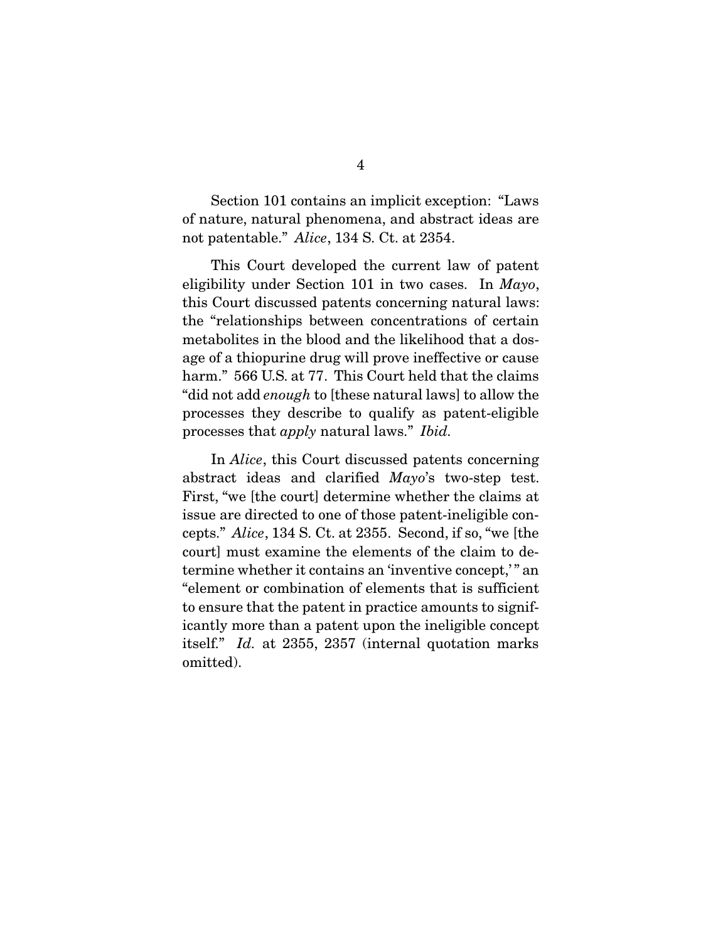Section 101 contains an implicit exception: "Laws of nature, natural phenomena, and abstract ideas are not patentable." *Alice*, 134 S. Ct. at 2354.

 This Court developed the current law of patent eligibility under Section 101 in two cases. In *Mayo*, this Court discussed patents concerning natural laws: the "relationships between concentrations of certain metabolites in the blood and the likelihood that a dosage of a thiopurine drug will prove ineffective or cause harm." 566 U.S. at 77. This Court held that the claims "did not add *enough* to [these natural laws] to allow the processes they describe to qualify as patent-eligible processes that *apply* natural laws." *Ibid.*

 In *Alice*, this Court discussed patents concerning abstract ideas and clarified *Mayo*'s two-step test. First, "we [the court] determine whether the claims at issue are directed to one of those patent-ineligible concepts." *Alice*, 134 S. Ct. at 2355. Second, if so, "we [the court] must examine the elements of the claim to determine whether it contains an 'inventive concept,' " an "element or combination of elements that is sufficient to ensure that the patent in practice amounts to significantly more than a patent upon the ineligible concept itself." *Id.* at 2355, 2357 (internal quotation marks omitted).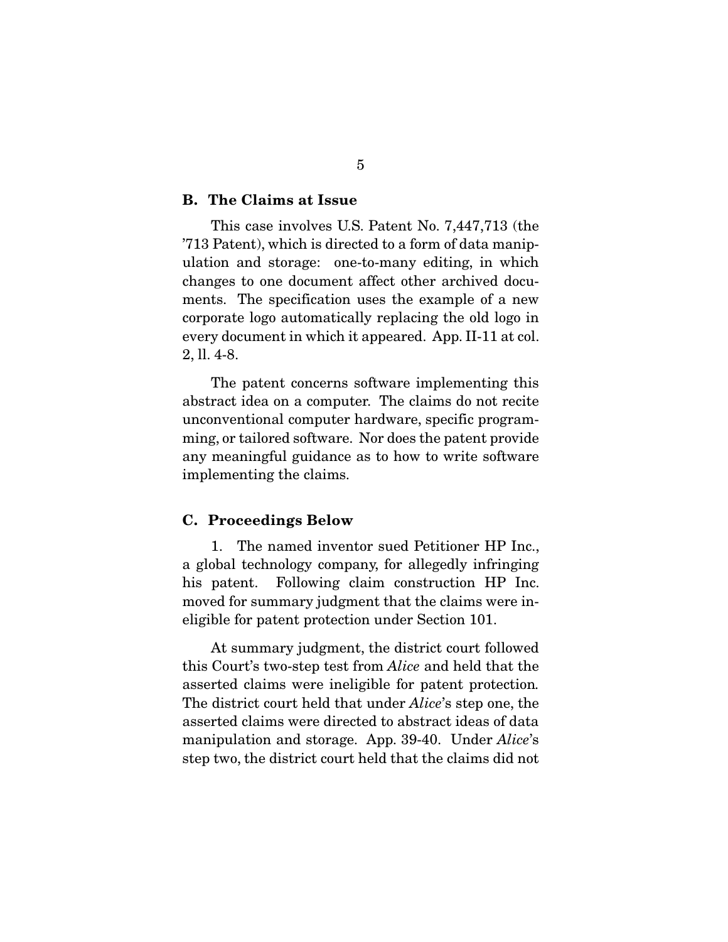#### **B. The Claims at Issue**

 This case involves U.S. Patent No. 7,447,713 (the '713 Patent), which is directed to a form of data manipulation and storage: one-to-many editing, in which changes to one document affect other archived documents. The specification uses the example of a new corporate logo automatically replacing the old logo in every document in which it appeared. App. II-11 at col. 2, ll. 4-8.

 The patent concerns software implementing this abstract idea on a computer. The claims do not recite unconventional computer hardware, specific programming, or tailored software. Nor does the patent provide any meaningful guidance as to how to write software implementing the claims.

#### **C. Proceedings Below**

 1. The named inventor sued Petitioner HP Inc., a global technology company, for allegedly infringing his patent. Following claim construction HP Inc. moved for summary judgment that the claims were ineligible for patent protection under Section 101.

 At summary judgment, the district court followed this Court's two-step test from *Alice* and held that the asserted claims were ineligible for patent protection*.*  The district court held that under *Alice*'s step one, the asserted claims were directed to abstract ideas of data manipulation and storage. App. 39-40. Under *Alice*'s step two, the district court held that the claims did not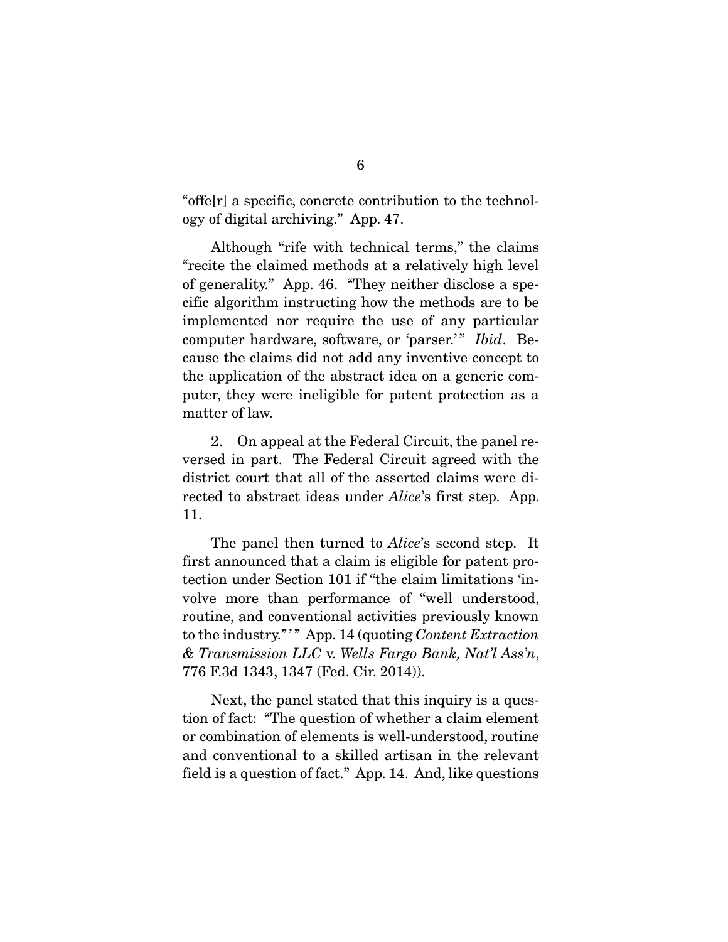"offe[r] a specific, concrete contribution to the technology of digital archiving." App. 47.

 Although "rife with technical terms," the claims "recite the claimed methods at a relatively high level of generality." App. 46. "They neither disclose a specific algorithm instructing how the methods are to be implemented nor require the use of any particular computer hardware, software, or 'parser.'" *Ibid*. Because the claims did not add any inventive concept to the application of the abstract idea on a generic computer, they were ineligible for patent protection as a matter of law.

 2. On appeal at the Federal Circuit, the panel reversed in part. The Federal Circuit agreed with the district court that all of the asserted claims were directed to abstract ideas under *Alice*'s first step. App. 11.

 The panel then turned to *Alice*'s second step. It first announced that a claim is eligible for patent protection under Section 101 if "the claim limitations 'involve more than performance of "well understood, routine, and conventional activities previously known to the industry." ' " App. 14 (quoting *Content Extraction & Transmission LLC* v. *Wells Fargo Bank, Nat'l Ass'n*, 776 F.3d 1343, 1347 (Fed. Cir. 2014)).

 Next, the panel stated that this inquiry is a question of fact: "The question of whether a claim element or combination of elements is well-understood, routine and conventional to a skilled artisan in the relevant field is a question of fact." App. 14. And, like questions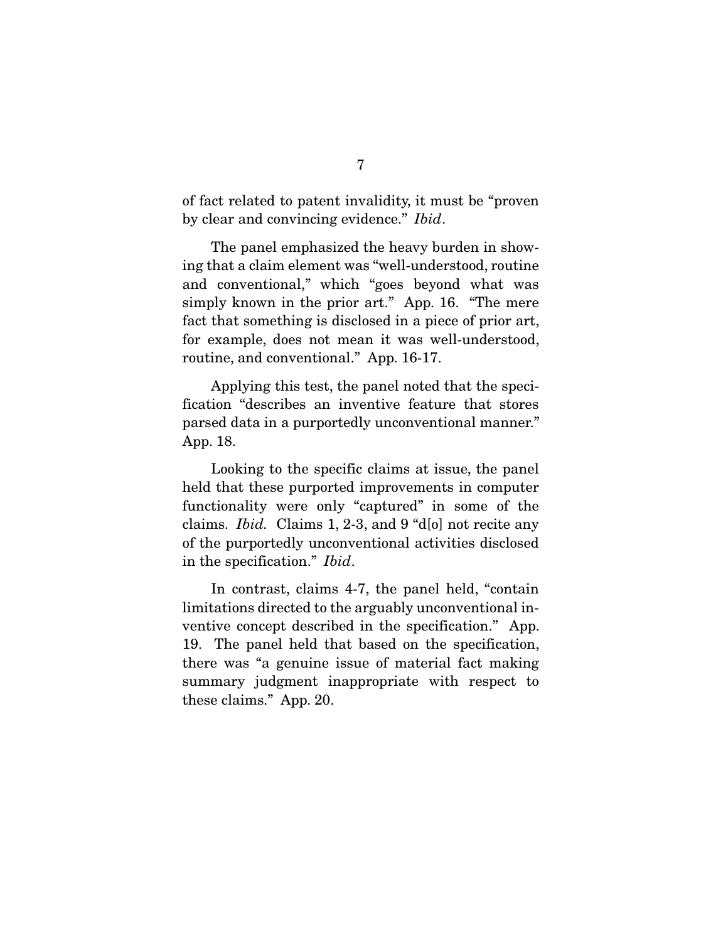of fact related to patent invalidity, it must be "proven by clear and convincing evidence." *Ibid*.

 The panel emphasized the heavy burden in showing that a claim element was "well-understood, routine and conventional," which "goes beyond what was simply known in the prior art." App. 16. "The mere fact that something is disclosed in a piece of prior art, for example, does not mean it was well-understood, routine, and conventional." App. 16-17.

 Applying this test, the panel noted that the specification "describes an inventive feature that stores parsed data in a purportedly unconventional manner." App. 18.

 Looking to the specific claims at issue, the panel held that these purported improvements in computer functionality were only "captured" in some of the claims. *Ibid.* Claims 1, 2-3, and 9 "d[o] not recite any of the purportedly unconventional activities disclosed in the specification." *Ibid*.

 In contrast, claims 4-7, the panel held, "contain limitations directed to the arguably unconventional inventive concept described in the specification." App. 19. The panel held that based on the specification, there was "a genuine issue of material fact making summary judgment inappropriate with respect to these claims." App. 20.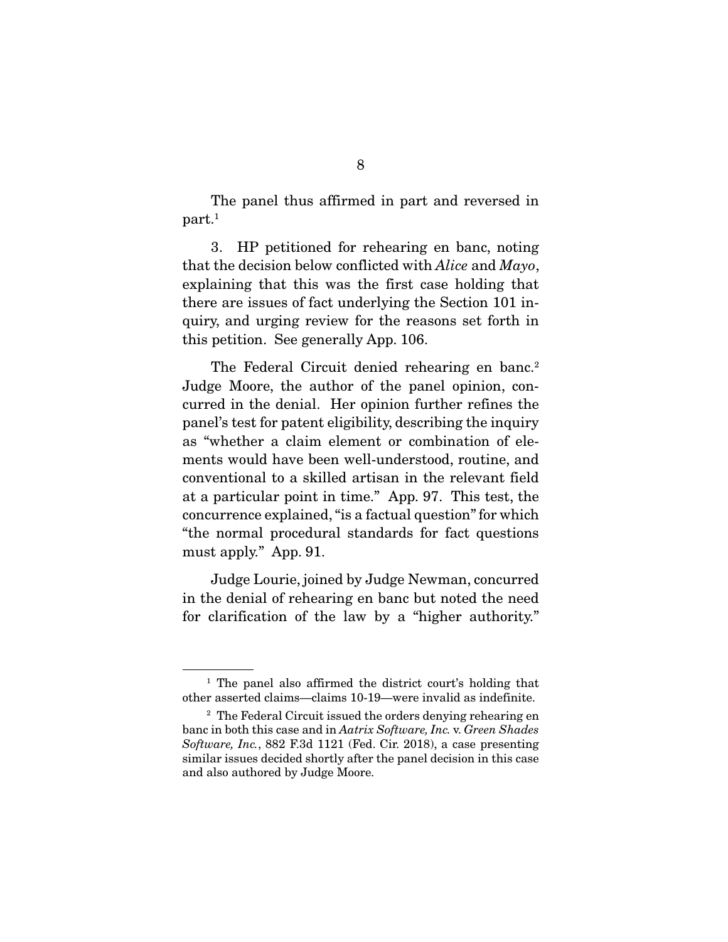The panel thus affirmed in part and reversed in part.1

 3. HP petitioned for rehearing en banc, noting that the decision below conflicted with *Alice* and *Mayo*, explaining that this was the first case holding that there are issues of fact underlying the Section 101 inquiry, and urging review for the reasons set forth in this petition. See generally App. 106.

The Federal Circuit denied rehearing en banc.<sup>2</sup> Judge Moore, the author of the panel opinion, concurred in the denial. Her opinion further refines the panel's test for patent eligibility, describing the inquiry as "whether a claim element or combination of elements would have been well-understood, routine, and conventional to a skilled artisan in the relevant field at a particular point in time." App. 97. This test, the concurrence explained, "is a factual question" for which "the normal procedural standards for fact questions must apply." App. 91.

 Judge Lourie, joined by Judge Newman, concurred in the denial of rehearing en banc but noted the need for clarification of the law by a "higher authority."

<sup>1</sup> The panel also affirmed the district court's holding that other asserted claims—claims 10-19—were invalid as indefinite.

<sup>&</sup>lt;sup>2</sup> The Federal Circuit issued the orders denying rehearing en banc in both this case and in *Aatrix Software, Inc.* v. *Green Shades Software, Inc.*, 882 F.3d 1121 (Fed. Cir. 2018), a case presenting similar issues decided shortly after the panel decision in this case and also authored by Judge Moore.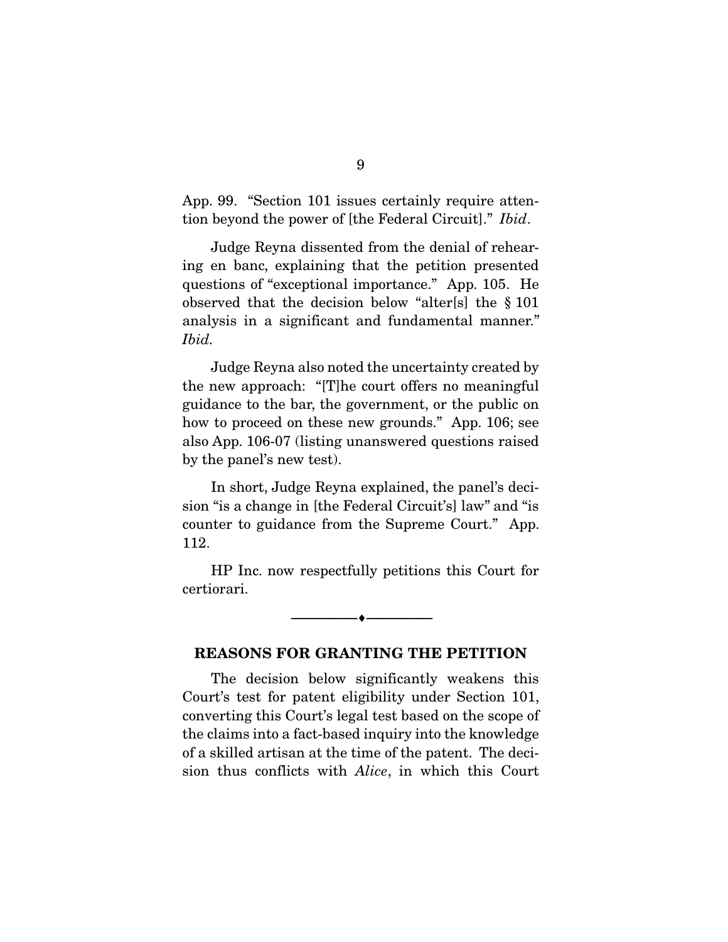App. 99. "Section 101 issues certainly require attention beyond the power of [the Federal Circuit]." *Ibid*.

 Judge Reyna dissented from the denial of rehearing en banc, explaining that the petition presented questions of "exceptional importance." App. 105. He observed that the decision below "alter[s] the § 101 analysis in a significant and fundamental manner." *Ibid.*

 Judge Reyna also noted the uncertainty created by the new approach: "[T]he court offers no meaningful guidance to the bar, the government, or the public on how to proceed on these new grounds." App. 106; see also App. 106-07 (listing unanswered questions raised by the panel's new test).

 In short, Judge Reyna explained, the panel's decision "is a change in [the Federal Circuit's] law" and "is counter to guidance from the Supreme Court." App. 112.

HP Inc. now respectfully petitions this Court for certiorari.

#### --------------------------------- ---------------------------------

#### **REASONS FOR GRANTING THE PETITION**

 The decision below significantly weakens this Court's test for patent eligibility under Section 101, converting this Court's legal test based on the scope of the claims into a fact-based inquiry into the knowledge of a skilled artisan at the time of the patent. The decision thus conflicts with *Alice*, in which this Court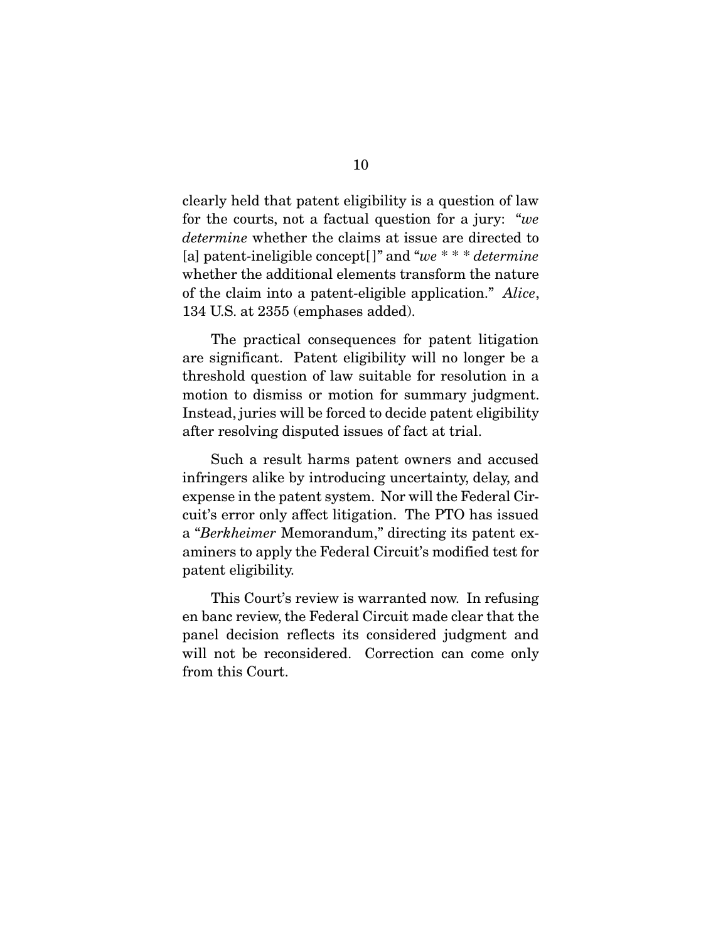clearly held that patent eligibility is a question of law for the courts, not a factual question for a jury: "*we determine* whether the claims at issue are directed to [a] patent-ineligible concept[ ]" and "*we* \* \* \* *determine* whether the additional elements transform the nature of the claim into a patent-eligible application." *Alice*, 134 U.S. at 2355 (emphases added).

 The practical consequences for patent litigation are significant. Patent eligibility will no longer be a threshold question of law suitable for resolution in a motion to dismiss or motion for summary judgment. Instead, juries will be forced to decide patent eligibility after resolving disputed issues of fact at trial.

 Such a result harms patent owners and accused infringers alike by introducing uncertainty, delay, and expense in the patent system. Nor will the Federal Circuit's error only affect litigation. The PTO has issued a "*Berkheimer* Memorandum," directing its patent examiners to apply the Federal Circuit's modified test for patent eligibility.

 This Court's review is warranted now. In refusing en banc review, the Federal Circuit made clear that the panel decision reflects its considered judgment and will not be reconsidered. Correction can come only from this Court.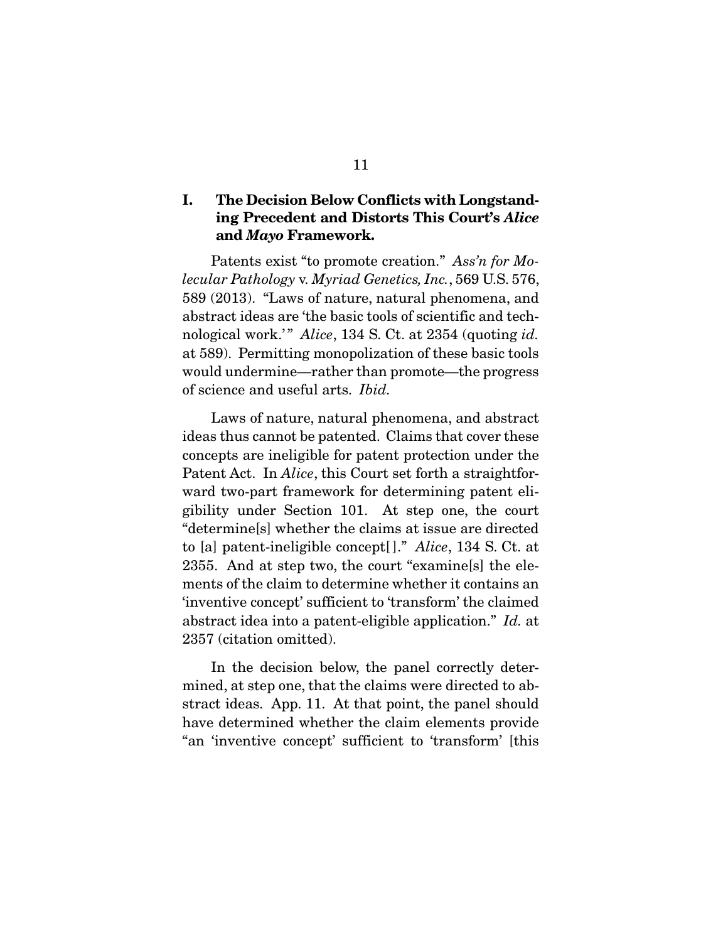# **I. The Decision Below Conflicts with Longstanding Precedent and Distorts This Court's** *Alice*  **and** *Mayo* **Framework.**

 Patents exist "to promote creation." *Ass'n for Molecular Pathology* v. *Myriad Genetics, Inc.*, 569 U.S. 576, 589 (2013). "Laws of nature, natural phenomena, and abstract ideas are 'the basic tools of scientific and technological work.'" *Alice*, 134 S. Ct. at 2354 (quoting *id.*) at 589). Permitting monopolization of these basic tools would undermine—rather than promote—the progress of science and useful arts. *Ibid.*

 Laws of nature, natural phenomena, and abstract ideas thus cannot be patented. Claims that cover these concepts are ineligible for patent protection under the Patent Act. In *Alice*, this Court set forth a straightforward two-part framework for determining patent eligibility under Section 101. At step one, the court "determine[s] whether the claims at issue are directed to [a] patent-ineligible concept[ ]." *Alice*, 134 S. Ct. at 2355. And at step two, the court "examine[s] the elements of the claim to determine whether it contains an 'inventive concept' sufficient to 'transform' the claimed abstract idea into a patent-eligible application." *Id.* at 2357 (citation omitted).

 In the decision below, the panel correctly determined, at step one, that the claims were directed to abstract ideas. App. 11. At that point, the panel should have determined whether the claim elements provide "an 'inventive concept' sufficient to 'transform' [this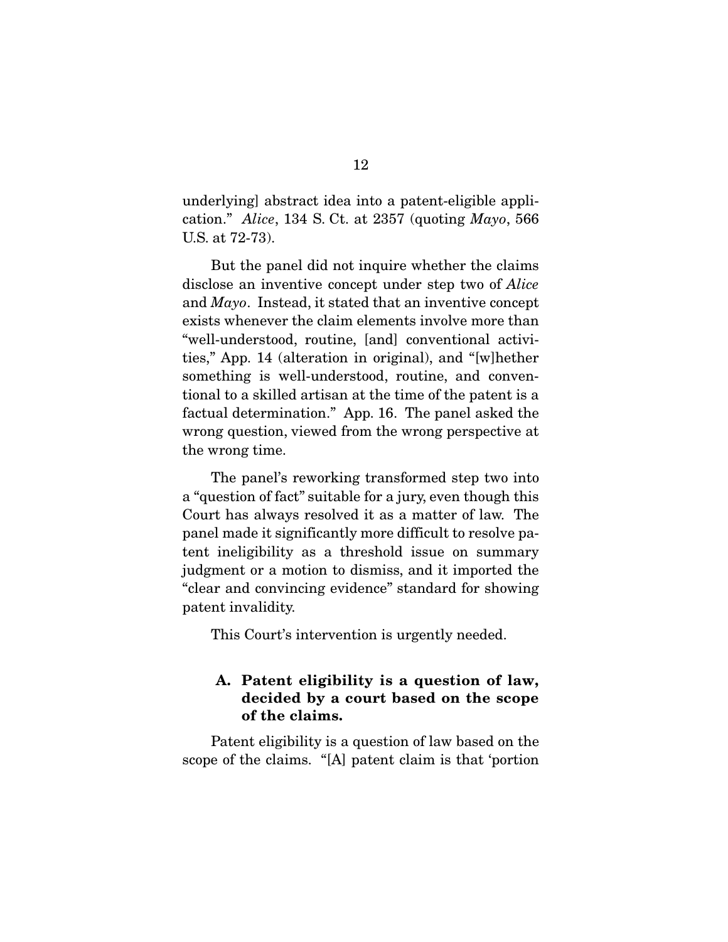underlying] abstract idea into a patent-eligible application." *Alice*, 134 S. Ct. at 2357 (quoting *Mayo*, 566 U.S. at 72-73).

 But the panel did not inquire whether the claims disclose an inventive concept under step two of *Alice* and *Mayo*. Instead, it stated that an inventive concept exists whenever the claim elements involve more than "well-understood, routine, [and] conventional activities," App. 14 (alteration in original), and "[w]hether something is well-understood, routine, and conventional to a skilled artisan at the time of the patent is a factual determination." App. 16. The panel asked the wrong question, viewed from the wrong perspective at the wrong time.

 The panel's reworking transformed step two into a "question of fact" suitable for a jury, even though this Court has always resolved it as a matter of law. The panel made it significantly more difficult to resolve patent ineligibility as a threshold issue on summary judgment or a motion to dismiss, and it imported the "clear and convincing evidence" standard for showing patent invalidity.

This Court's intervention is urgently needed.

# **A. Patent eligibility is a question of law, decided by a court based on the scope of the claims.**

 Patent eligibility is a question of law based on the scope of the claims. "[A] patent claim is that 'portion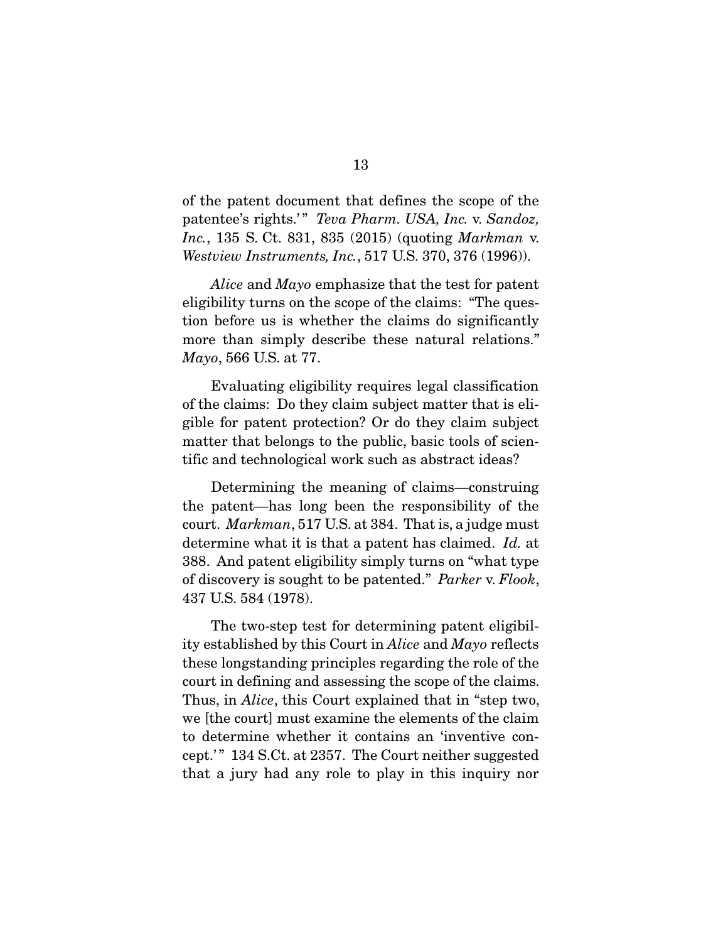of the patent document that defines the scope of the patentee's rights.'" *Teva Pharm. USA, Inc. v. Sandoz, Inc.*, 135 S. Ct. 831, 835 (2015) (quoting *Markman* v. *Westview Instruments, Inc.*, 517 U.S. 370, 376 (1996)).

*Alice* and *Mayo* emphasize that the test for patent eligibility turns on the scope of the claims: "The question before us is whether the claims do significantly more than simply describe these natural relations." *Mayo*, 566 U.S. at 77.

 Evaluating eligibility requires legal classification of the claims: Do they claim subject matter that is eligible for patent protection? Or do they claim subject matter that belongs to the public, basic tools of scientific and technological work such as abstract ideas?

 Determining the meaning of claims—construing the patent—has long been the responsibility of the court. *Markman*, 517 U.S. at 384. That is, a judge must determine what it is that a patent has claimed. *Id.* at 388. And patent eligibility simply turns on "what type of discovery is sought to be patented." *Parker* v. *Flook*, 437 U.S. 584 (1978).

 The two-step test for determining patent eligibility established by this Court in *Alice* and *Mayo* reflects these longstanding principles regarding the role of the court in defining and assessing the scope of the claims. Thus, in *Alice*, this Court explained that in "step two, we [the court] must examine the elements of the claim to determine whether it contains an 'inventive concept.'" 134 S.Ct. at 2357. The Court neither suggested that a jury had any role to play in this inquiry nor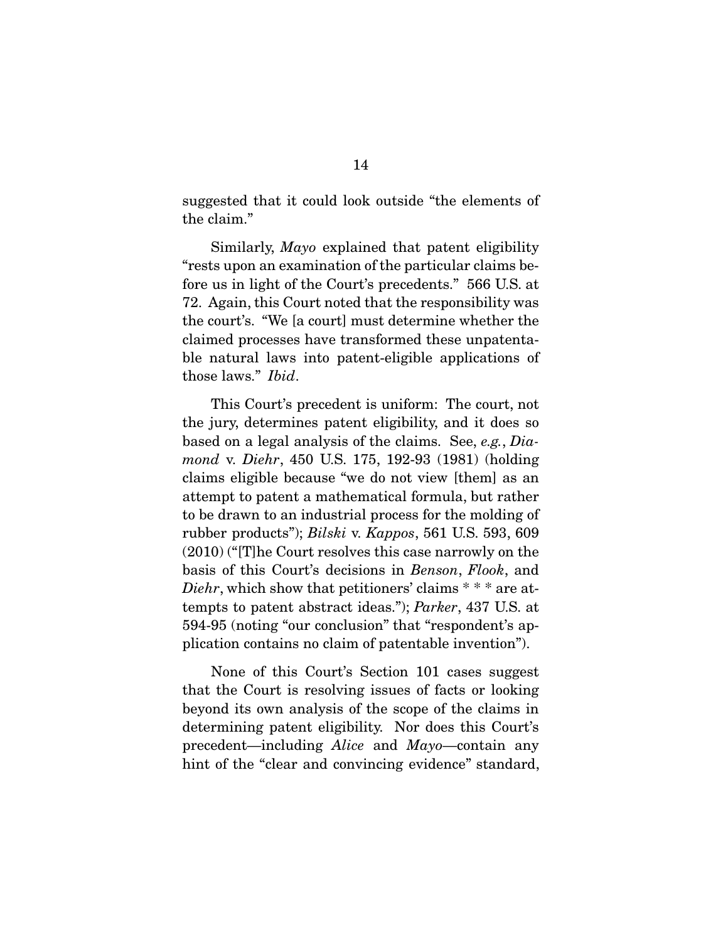suggested that it could look outside "the elements of the claim."

 Similarly, *Mayo* explained that patent eligibility "rests upon an examination of the particular claims before us in light of the Court's precedents." 566 U.S. at 72. Again, this Court noted that the responsibility was the court's. "We [a court] must determine whether the claimed processes have transformed these unpatentable natural laws into patent-eligible applications of those laws." *Ibid*.

 This Court's precedent is uniform: The court, not the jury, determines patent eligibility, and it does so based on a legal analysis of the claims. See, *e.g.*, *Diamond* v. *Diehr*, 450 U.S. 175, 192-93 (1981) (holding claims eligible because "we do not view [them] as an attempt to patent a mathematical formula, but rather to be drawn to an industrial process for the molding of rubber products"); *Bilski* v. *Kappos*, 561 U.S. 593, 609 (2010) ("[T]he Court resolves this case narrowly on the basis of this Court's decisions in *Benson*, *Flook*, and *Diehr*, which show that petitioners' claims \* \* \* are attempts to patent abstract ideas."); *Parker*, 437 U.S. at 594-95 (noting "our conclusion" that "respondent's application contains no claim of patentable invention").

 None of this Court's Section 101 cases suggest that the Court is resolving issues of facts or looking beyond its own analysis of the scope of the claims in determining patent eligibility. Nor does this Court's precedent—including *Alice* and *Mayo*—contain any hint of the "clear and convincing evidence" standard,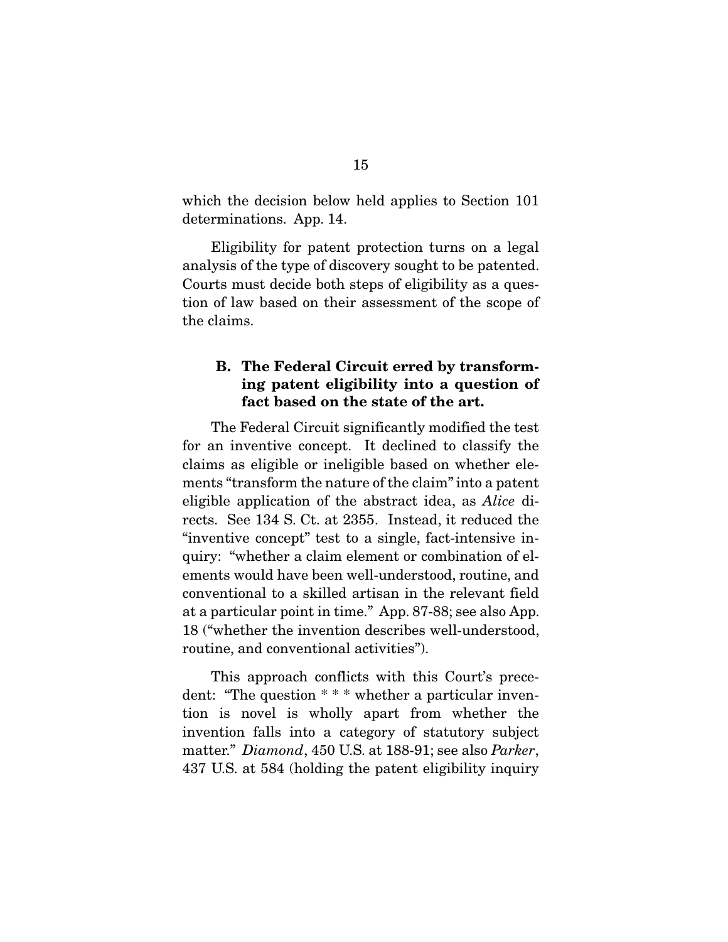which the decision below held applies to Section 101 determinations. App. 14.

 Eligibility for patent protection turns on a legal analysis of the type of discovery sought to be patented. Courts must decide both steps of eligibility as a question of law based on their assessment of the scope of the claims.

# **B. The Federal Circuit erred by transforming patent eligibility into a question of fact based on the state of the art.**

 The Federal Circuit significantly modified the test for an inventive concept. It declined to classify the claims as eligible or ineligible based on whether elements "transform the nature of the claim" into a patent eligible application of the abstract idea, as *Alice* directs. See 134 S. Ct. at 2355. Instead, it reduced the "inventive concept" test to a single, fact-intensive inquiry: "whether a claim element or combination of elements would have been well-understood, routine, and conventional to a skilled artisan in the relevant field at a particular point in time." App. 87-88; see also App. 18 ("whether the invention describes well-understood, routine, and conventional activities").

 This approach conflicts with this Court's precedent: "The question \* \* \* whether a particular invention is novel is wholly apart from whether the invention falls into a category of statutory subject matter." *Diamond*, 450 U.S. at 188-91; see also *Parker*, 437 U.S. at 584 (holding the patent eligibility inquiry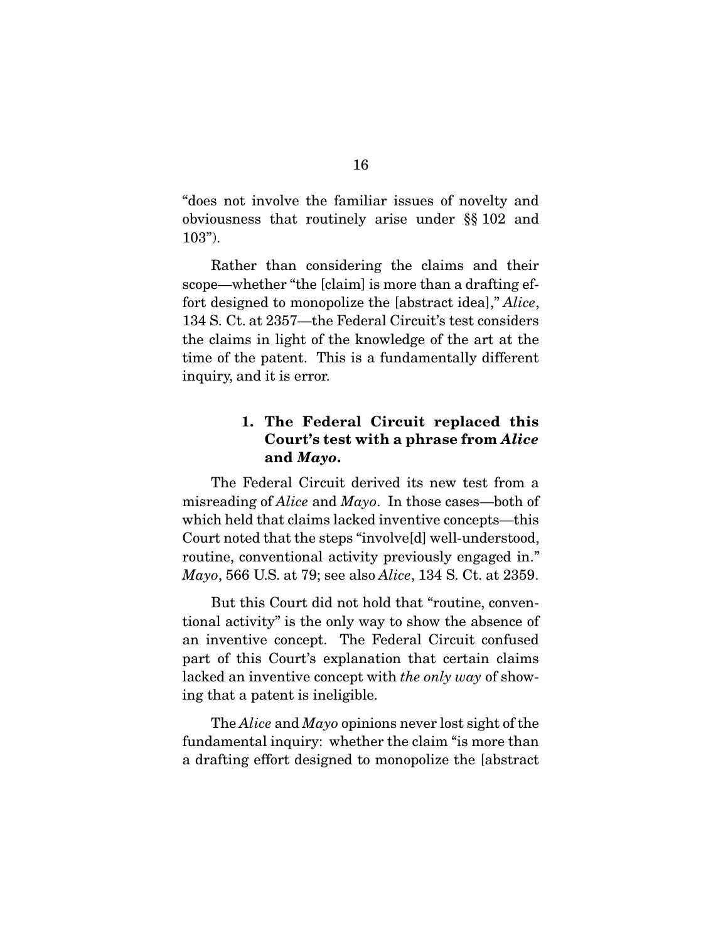"does not involve the familiar issues of novelty and obviousness that routinely arise under §§ 102 and 103").

 Rather than considering the claims and their scope—whether "the [claim] is more than a drafting effort designed to monopolize the [abstract idea]," *Alice*, 134 S. Ct. at 2357—the Federal Circuit's test considers the claims in light of the knowledge of the art at the time of the patent. This is a fundamentally different inquiry, and it is error.

# **1. The Federal Circuit replaced this Court's test with a phrase from** *Alice* **and** *Mayo***.**

 The Federal Circuit derived its new test from a misreading of *Alice* and *Mayo*. In those cases—both of which held that claims lacked inventive concepts—this Court noted that the steps "involve[d] well-understood, routine, conventional activity previously engaged in." *Mayo*, 566 U.S. at 79; see also *Alice*, 134 S. Ct. at 2359.

 But this Court did not hold that "routine, conventional activity" is the only way to show the absence of an inventive concept. The Federal Circuit confused part of this Court's explanation that certain claims lacked an inventive concept with *the only way* of showing that a patent is ineligible.

 The *Alice* and *Mayo* opinions never lost sight of the fundamental inquiry: whether the claim "is more than a drafting effort designed to monopolize the [abstract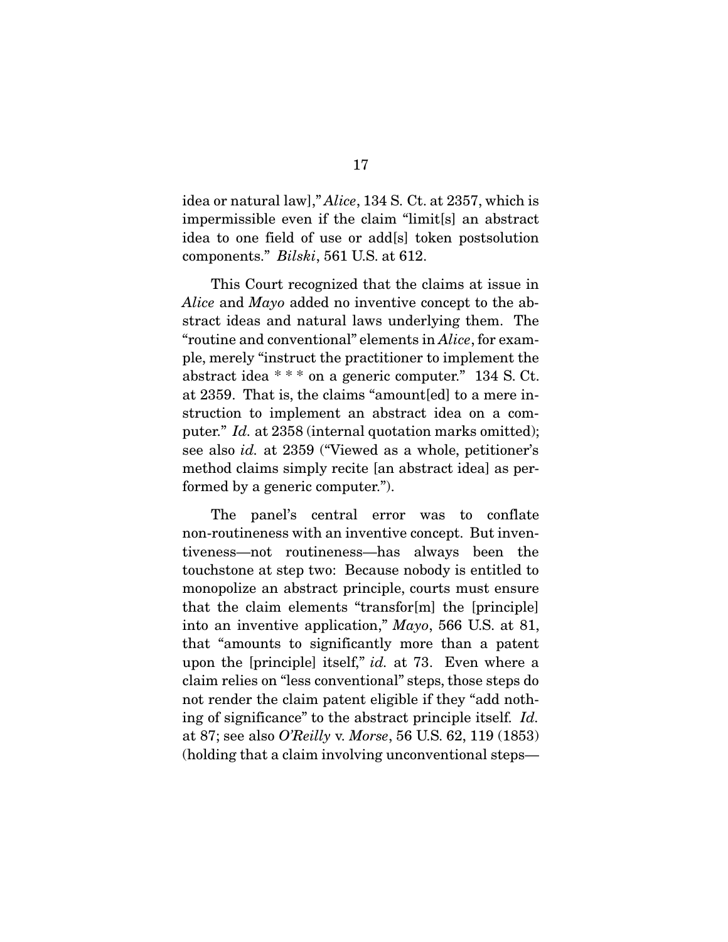idea or natural law]," *Alice*, 134 S. Ct. at 2357, which is impermissible even if the claim "limit[s] an abstract idea to one field of use or add[s] token postsolution components." *Bilski*, 561 U.S. at 612.

 This Court recognized that the claims at issue in *Alice* and *Mayo* added no inventive concept to the abstract ideas and natural laws underlying them. The "routine and conventional" elements in *Alice*, for example, merely "instruct the practitioner to implement the abstract idea \* \* \* on a generic computer." 134 S. Ct. at 2359. That is, the claims "amount[ed] to a mere instruction to implement an abstract idea on a computer." *Id.* at 2358 (internal quotation marks omitted); see also *id.* at 2359 ("Viewed as a whole, petitioner's method claims simply recite [an abstract idea] as performed by a generic computer.").

 The panel's central error was to conflate non-routineness with an inventive concept. But inventiveness—not routineness—has always been the touchstone at step two: Because nobody is entitled to monopolize an abstract principle, courts must ensure that the claim elements "transfor[m] the [principle] into an inventive application," *Mayo*, 566 U.S. at 81, that "amounts to significantly more than a patent upon the [principle] itself," *id.* at 73. Even where a claim relies on "less conventional" steps, those steps do not render the claim patent eligible if they "add nothing of significance" to the abstract principle itself. *Id.* at 87; see also *O'Reilly* v. *Morse*, 56 U.S. 62, 119 (1853) (holding that a claim involving unconventional steps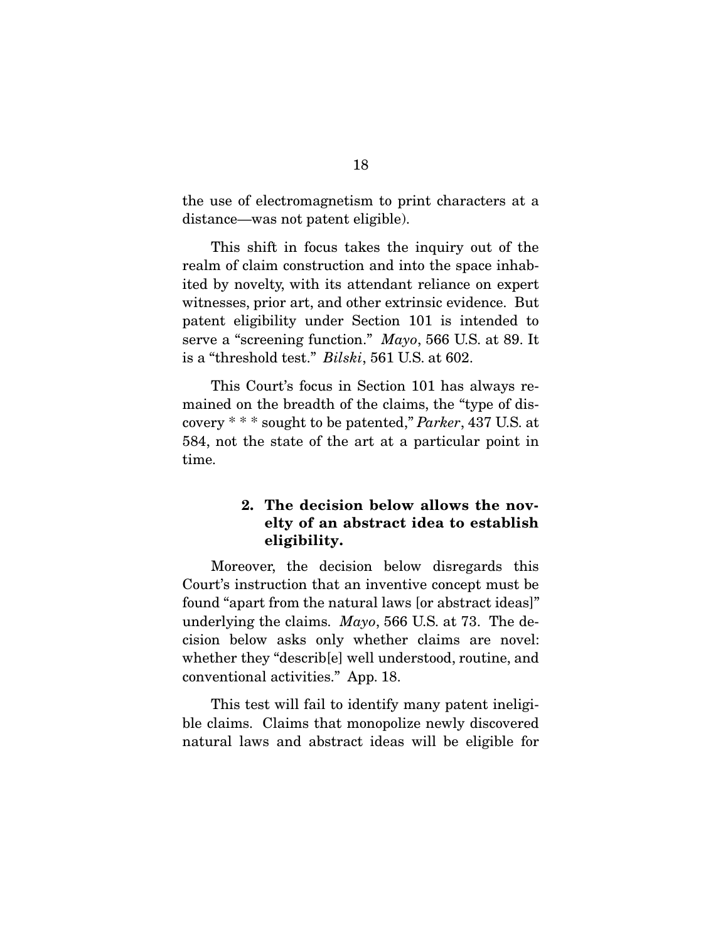the use of electromagnetism to print characters at a distance—was not patent eligible).

 This shift in focus takes the inquiry out of the realm of claim construction and into the space inhabited by novelty, with its attendant reliance on expert witnesses, prior art, and other extrinsic evidence. But patent eligibility under Section 101 is intended to serve a "screening function." *Mayo*, 566 U.S. at 89. It is a "threshold test." *Bilski*, 561 U.S. at 602.

 This Court's focus in Section 101 has always remained on the breadth of the claims, the "type of discovery \* \* \* sought to be patented," *Parker*, 437 U.S. at 584, not the state of the art at a particular point in time.

# **2. The decision below allows the novelty of an abstract idea to establish eligibility.**

 Moreover, the decision below disregards this Court's instruction that an inventive concept must be found "apart from the natural laws [or abstract ideas]" underlying the claims. *Mayo*, 566 U.S. at 73. The decision below asks only whether claims are novel: whether they "describ[e] well understood, routine, and conventional activities." App. 18.

 This test will fail to identify many patent ineligible claims. Claims that monopolize newly discovered natural laws and abstract ideas will be eligible for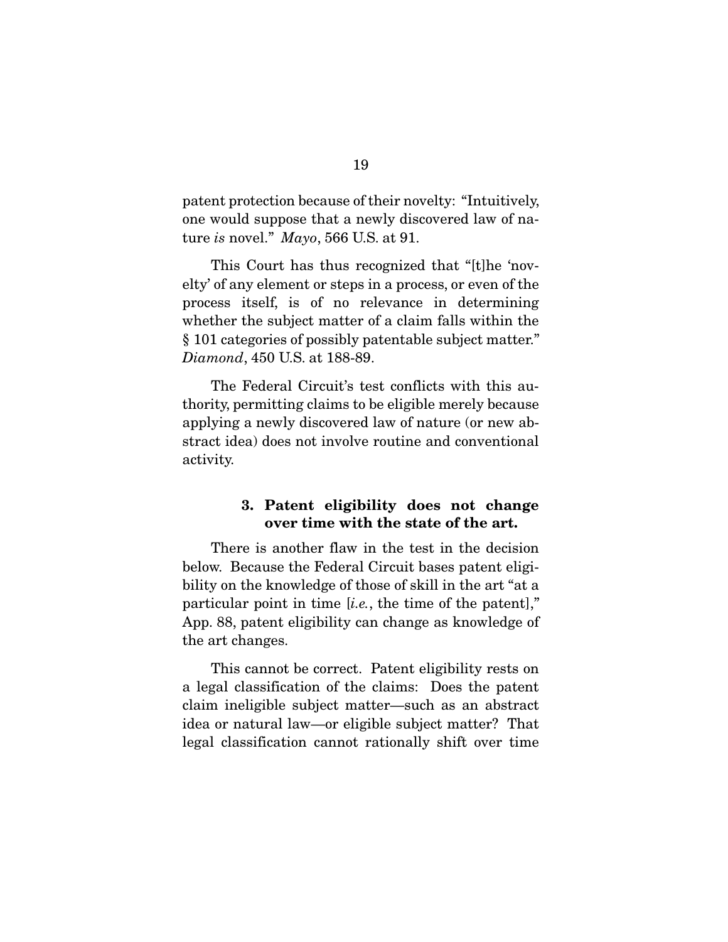patent protection because of their novelty: "Intuitively, one would suppose that a newly discovered law of nature *is* novel." *Mayo*, 566 U.S. at 91.

 This Court has thus recognized that "[t]he 'novelty' of any element or steps in a process, or even of the process itself, is of no relevance in determining whether the subject matter of a claim falls within the § 101 categories of possibly patentable subject matter." *Diamond*, 450 U.S. at 188-89.

 The Federal Circuit's test conflicts with this authority, permitting claims to be eligible merely because applying a newly discovered law of nature (or new abstract idea) does not involve routine and conventional activity.

## **3. Patent eligibility does not change over time with the state of the art.**

 There is another flaw in the test in the decision below. Because the Federal Circuit bases patent eligibility on the knowledge of those of skill in the art "at a particular point in time [*i.e.*, the time of the patent]," App. 88, patent eligibility can change as knowledge of the art changes.

 This cannot be correct. Patent eligibility rests on a legal classification of the claims: Does the patent claim ineligible subject matter—such as an abstract idea or natural law—or eligible subject matter? That legal classification cannot rationally shift over time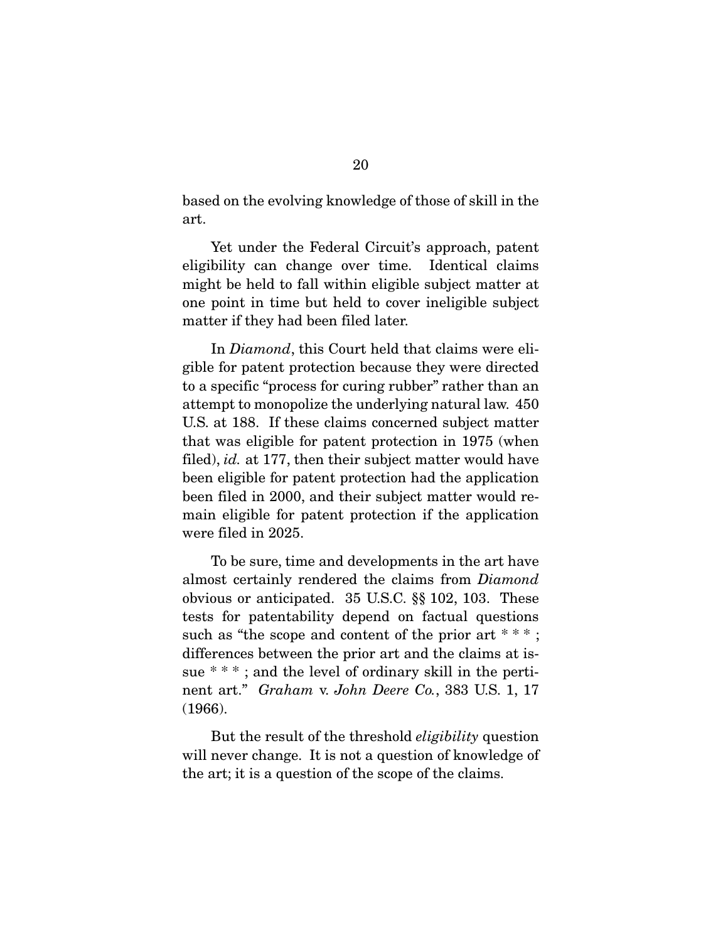based on the evolving knowledge of those of skill in the art.

 Yet under the Federal Circuit's approach, patent eligibility can change over time. Identical claims might be held to fall within eligible subject matter at one point in time but held to cover ineligible subject matter if they had been filed later.

 In *Diamond*, this Court held that claims were eligible for patent protection because they were directed to a specific "process for curing rubber" rather than an attempt to monopolize the underlying natural law. 450 U.S. at 188. If these claims concerned subject matter that was eligible for patent protection in 1975 (when filed), *id.* at 177, then their subject matter would have been eligible for patent protection had the application been filed in 2000, and their subject matter would remain eligible for patent protection if the application were filed in 2025.

 To be sure, time and developments in the art have almost certainly rendered the claims from *Diamond*  obvious or anticipated. 35 U.S.C. §§ 102, 103. These tests for patentability depend on factual questions such as "the scope and content of the prior art \* \* \*; differences between the prior art and the claims at issue \* \* \*, and the level of ordinary skill in the pertinent art." *Graham* v. *John Deere Co.*, 383 U.S. 1, 17 (1966).

 But the result of the threshold *eligibility* question will never change. It is not a question of knowledge of the art; it is a question of the scope of the claims.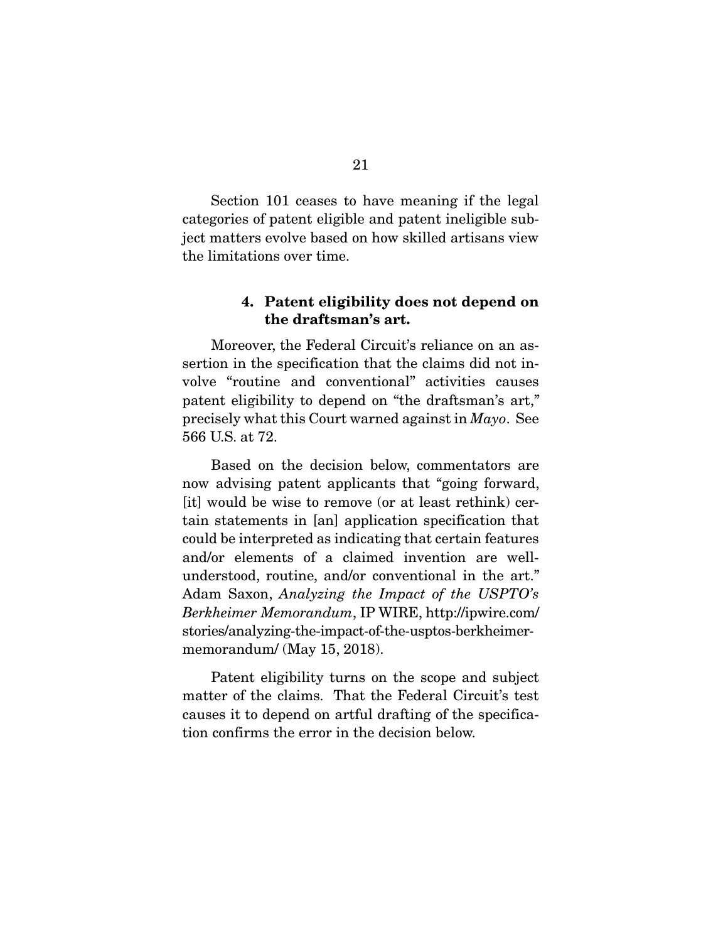Section 101 ceases to have meaning if the legal categories of patent eligible and patent ineligible subject matters evolve based on how skilled artisans view the limitations over time.

## **4. Patent eligibility does not depend on the draftsman's art.**

 Moreover, the Federal Circuit's reliance on an assertion in the specification that the claims did not involve "routine and conventional" activities causes patent eligibility to depend on "the draftsman's art," precisely what this Court warned against in *Mayo*. See 566 U.S. at 72.

 Based on the decision below, commentators are now advising patent applicants that "going forward, [it] would be wise to remove (or at least rethink) certain statements in [an] application specification that could be interpreted as indicating that certain features and/or elements of a claimed invention are wellunderstood, routine, and/or conventional in the art." Adam Saxon, *Analyzing the Impact of the USPTO's Berkheimer Memorandum*, IP WIRE, http://ipwire.com/ stories/analyzing-the-impact-of-the-usptos-berkheimermemorandum/ (May 15, 2018).

 Patent eligibility turns on the scope and subject matter of the claims. That the Federal Circuit's test causes it to depend on artful drafting of the specification confirms the error in the decision below.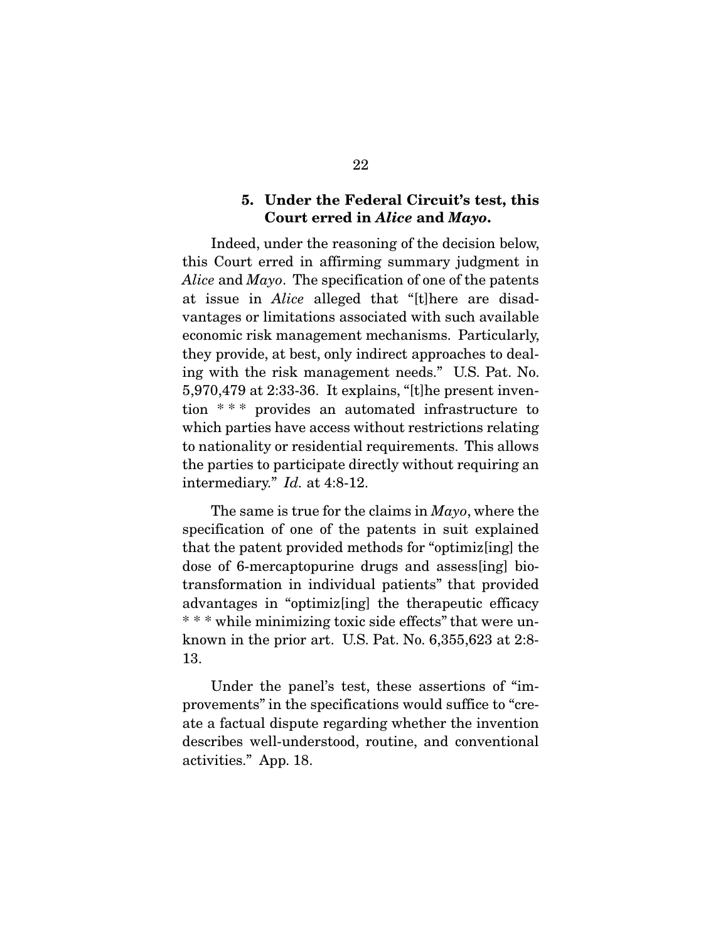## **5. Under the Federal Circuit's test, this Court erred in** *Alice* **and** *Mayo***.**

 Indeed, under the reasoning of the decision below, this Court erred in affirming summary judgment in *Alice* and *Mayo*. The specification of one of the patents at issue in *Alice* alleged that "[t]here are disadvantages or limitations associated with such available economic risk management mechanisms. Particularly, they provide, at best, only indirect approaches to dealing with the risk management needs." U.S. Pat. No. 5,970,479 at 2:33-36. It explains, "[t]he present invention \* \* \* provides an automated infrastructure to which parties have access without restrictions relating to nationality or residential requirements. This allows the parties to participate directly without requiring an intermediary." *Id.* at 4:8-12.

 The same is true for the claims in *Mayo*, where the specification of one of the patents in suit explained that the patent provided methods for "optimiz[ing] the dose of 6-mercaptopurine drugs and assess[ing] biotransformation in individual patients" that provided advantages in "optimiz[ing] the therapeutic efficacy \* \* \* while minimizing toxic side effects" that were unknown in the prior art. U.S. Pat. No. 6,355,623 at 2:8- 13.

 Under the panel's test, these assertions of "improvements" in the specifications would suffice to "create a factual dispute regarding whether the invention describes well-understood, routine, and conventional activities." App. 18.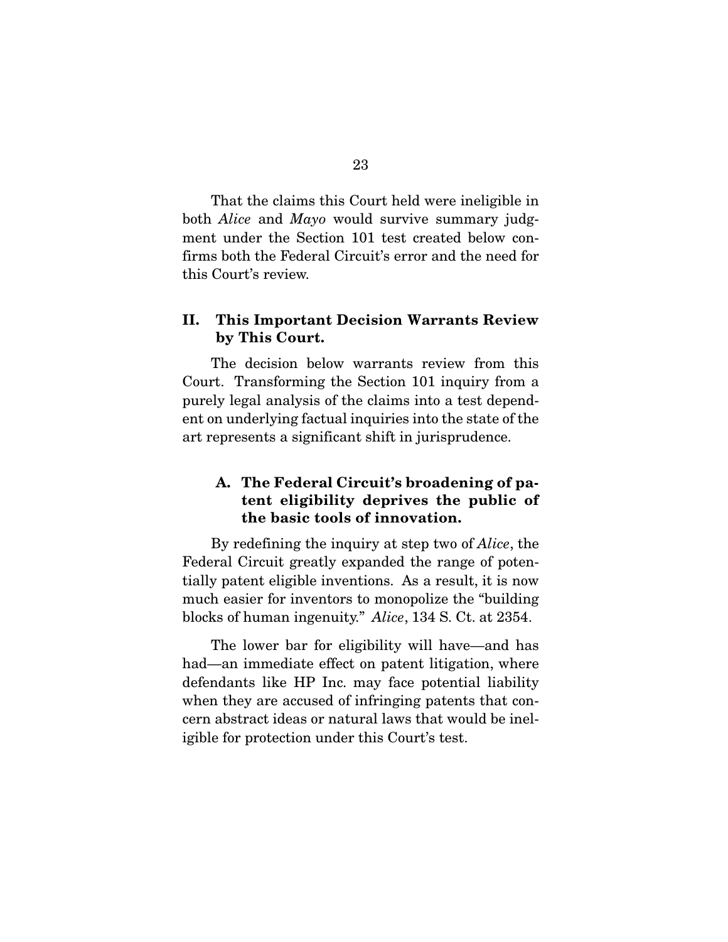That the claims this Court held were ineligible in both *Alice* and *Mayo* would survive summary judgment under the Section 101 test created below confirms both the Federal Circuit's error and the need for this Court's review.

## **II. This Important Decision Warrants Review by This Court.**

 The decision below warrants review from this Court. Transforming the Section 101 inquiry from a purely legal analysis of the claims into a test dependent on underlying factual inquiries into the state of the art represents a significant shift in jurisprudence.

# **A. The Federal Circuit's broadening of patent eligibility deprives the public of the basic tools of innovation.**

 By redefining the inquiry at step two of *Alice*, the Federal Circuit greatly expanded the range of potentially patent eligible inventions. As a result, it is now much easier for inventors to monopolize the "building blocks of human ingenuity." *Alice*, 134 S. Ct. at 2354.

 The lower bar for eligibility will have—and has had—an immediate effect on patent litigation, where defendants like HP Inc. may face potential liability when they are accused of infringing patents that concern abstract ideas or natural laws that would be ineligible for protection under this Court's test.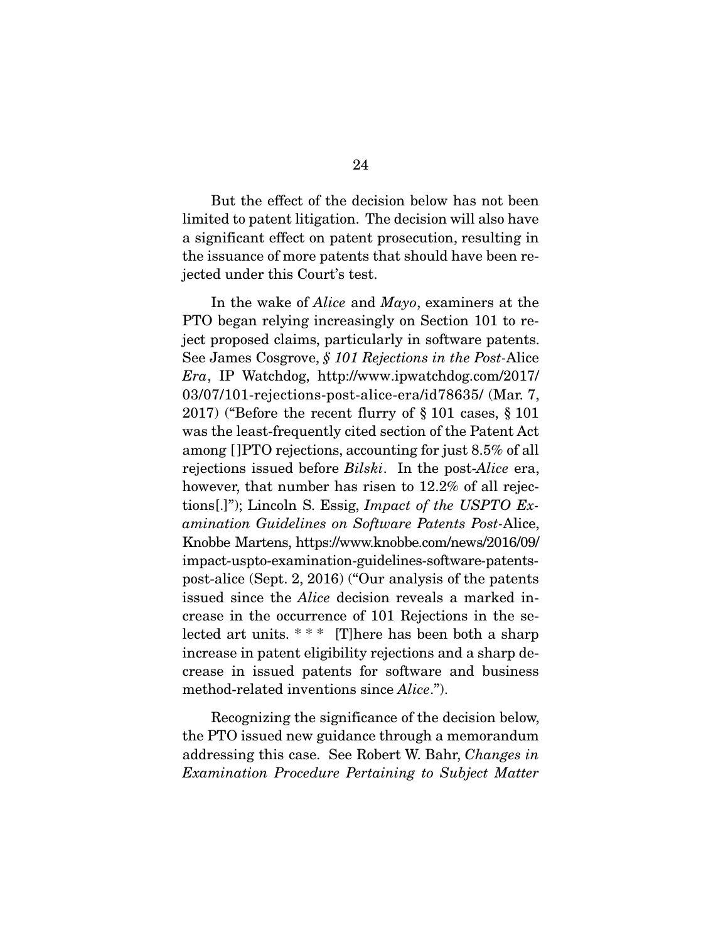But the effect of the decision below has not been limited to patent litigation. The decision will also have a significant effect on patent prosecution, resulting in the issuance of more patents that should have been rejected under this Court's test.

 In the wake of *Alice* and *Mayo*, examiners at the PTO began relying increasingly on Section 101 to reject proposed claims, particularly in software patents. See James Cosgrove, *§ 101 Rejections in the Post-*Alice *Era*, IP Watchdog, http://www.ipwatchdog.com/2017/ 03/07/101-rejections-post-alice-era/id78635/ (Mar. 7, 2017) ("Before the recent flurry of § 101 cases, § 101 was the least-frequently cited section of the Patent Act among [ ]PTO rejections, accounting for just 8.5% of all rejections issued before *Bilski*. In the post-*Alice* era, however, that number has risen to 12.2% of all rejections[.]"); Lincoln S. Essig, *Impact of the USPTO Examination Guidelines on Software Patents Post-*Alice, Knobbe Martens, https://www.knobbe.com/news/2016/09/ impact-uspto-examination-guidelines-software-patentspost-alice (Sept. 2, 2016) ("Our analysis of the patents issued since the *Alice* decision reveals a marked increase in the occurrence of 101 Rejections in the selected art units.  $***$  [T]here has been both a sharp increase in patent eligibility rejections and a sharp decrease in issued patents for software and business method-related inventions since *Alice*.").

 Recognizing the significance of the decision below, the PTO issued new guidance through a memorandum addressing this case. See Robert W. Bahr, *Changes in Examination Procedure Pertaining to Subject Matter*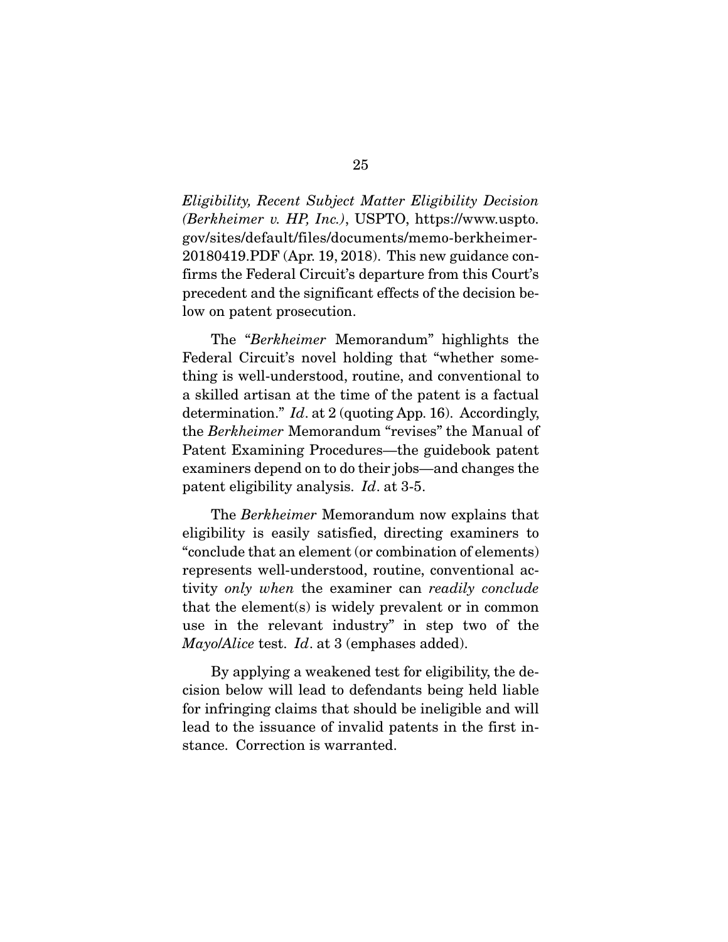*Eligibility, Recent Subject Matter Eligibility Decision (Berkheimer v. HP, Inc.)*, USPTO, https://www.uspto. gov/sites/default/files/documents/memo-berkheimer-20180419.PDF (Apr. 19, 2018). This new guidance confirms the Federal Circuit's departure from this Court's precedent and the significant effects of the decision below on patent prosecution.

 The "*Berkheimer* Memorandum" highlights the Federal Circuit's novel holding that "whether something is well-understood, routine, and conventional to a skilled artisan at the time of the patent is a factual determination." *Id*. at 2 (quoting App. 16). Accordingly, the *Berkheimer* Memorandum "revises" the Manual of Patent Examining Procedures—the guidebook patent examiners depend on to do their jobs—and changes the patent eligibility analysis. *Id*. at 3-5.

 The *Berkheimer* Memorandum now explains that eligibility is easily satisfied, directing examiners to "conclude that an element (or combination of elements) represents well-understood, routine, conventional activity *only when* the examiner can *readily conclude* that the element(s) is widely prevalent or in common use in the relevant industry" in step two of the *Mayo*/*Alice* test. *Id*. at 3 (emphases added).

 By applying a weakened test for eligibility, the decision below will lead to defendants being held liable for infringing claims that should be ineligible and will lead to the issuance of invalid patents in the first instance. Correction is warranted.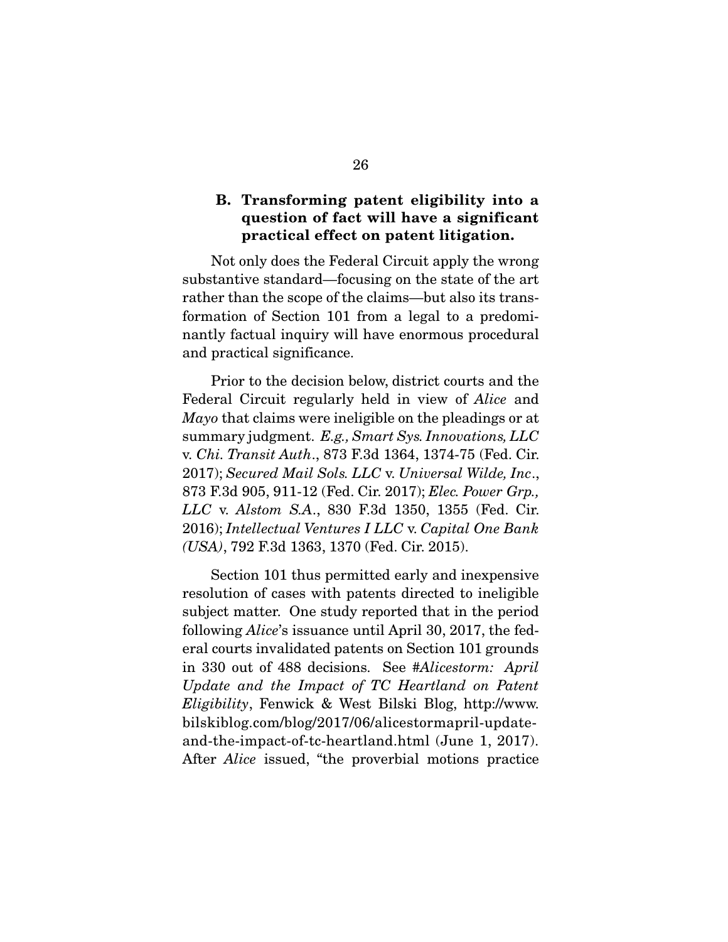## **B. Transforming patent eligibility into a question of fact will have a significant practical effect on patent litigation.**

 Not only does the Federal Circuit apply the wrong substantive standard—focusing on the state of the art rather than the scope of the claims—but also its transformation of Section 101 from a legal to a predominantly factual inquiry will have enormous procedural and practical significance.

 Prior to the decision below, district courts and the Federal Circuit regularly held in view of *Alice* and *Mayo* that claims were ineligible on the pleadings or at summary judgment. *E.g., Smart Sys. Innovations, LLC*  v. *Chi. Transit Auth*., 873 F.3d 1364, 1374-75 (Fed. Cir. 2017); *Secured Mail Sols. LLC* v. *Universal Wilde, Inc*., 873 F.3d 905, 911-12 (Fed. Cir. 2017); *Elec. Power Grp., LLC* v. *Alstom S.A*., 830 F.3d 1350, 1355 (Fed. Cir. 2016); *Intellectual Ventures I LLC* v. *Capital One Bank (USA)*, 792 F.3d 1363, 1370 (Fed. Cir. 2015).

 Section 101 thus permitted early and inexpensive resolution of cases with patents directed to ineligible subject matter. One study reported that in the period following *Alice*'s issuance until April 30, 2017, the federal courts invalidated patents on Section 101 grounds in 330 out of 488 decisions. See *#Alicestorm: April Update and the Impact of TC Heartland on Patent Eligibility*, Fenwick & West Bilski Blog, http://www. bilskiblog.com/blog/2017/06/alicestormapril-updateand-the-impact-of-tc-heartland.html (June 1, 2017). After *Alice* issued, "the proverbial motions practice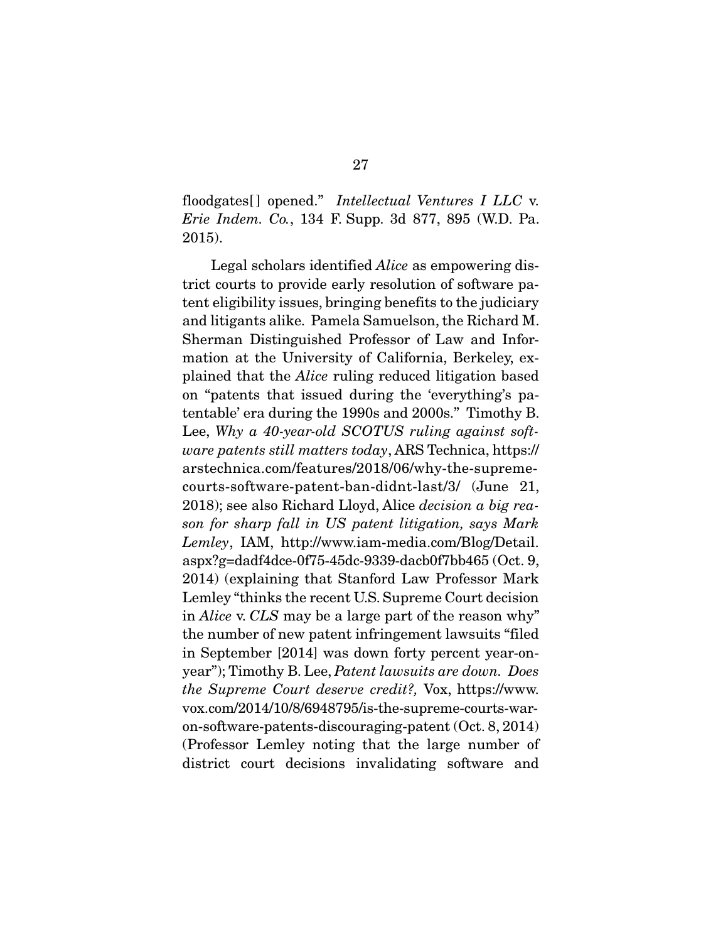floodgates[ ] opened." *Intellectual Ventures I LLC* v. *Erie Indem. Co.*, 134 F. Supp. 3d 877, 895 (W.D. Pa. 2015).

 Legal scholars identified *Alice* as empowering district courts to provide early resolution of software patent eligibility issues, bringing benefits to the judiciary and litigants alike. Pamela Samuelson, the Richard M. Sherman Distinguished Professor of Law and Information at the University of California, Berkeley, explained that the *Alice* ruling reduced litigation based on "patents that issued during the 'everything's patentable' era during the 1990s and 2000s." Timothy B. Lee, *Why a 40-year-old SCOTUS ruling against software patents still matters today*, ARS Technica, https:// arstechnica.com/features/2018/06/why-the-supremecourts-software-patent-ban-didnt-last/3/ (June 21, 2018); see also Richard Lloyd, Alice *decision a big reason for sharp fall in US patent litigation, says Mark Lemley*, IAM, http://www.iam-media.com/Blog/Detail. aspx?g=dadf4dce-0f75-45dc-9339-dacb0f7bb465 (Oct. 9, 2014) (explaining that Stanford Law Professor Mark Lemley "thinks the recent U.S. Supreme Court decision in *Alice* v. *CLS* may be a large part of the reason why" the number of new patent infringement lawsuits "filed in September [2014] was down forty percent year-onyear"); Timothy B. Lee, *Patent lawsuits are down. Does the Supreme Court deserve credit?,* Vox, https://www. vox.com/2014/10/8/6948795/is-the-supreme-courts-waron-software-patents-discouraging-patent (Oct. 8, 2014) (Professor Lemley noting that the large number of district court decisions invalidating software and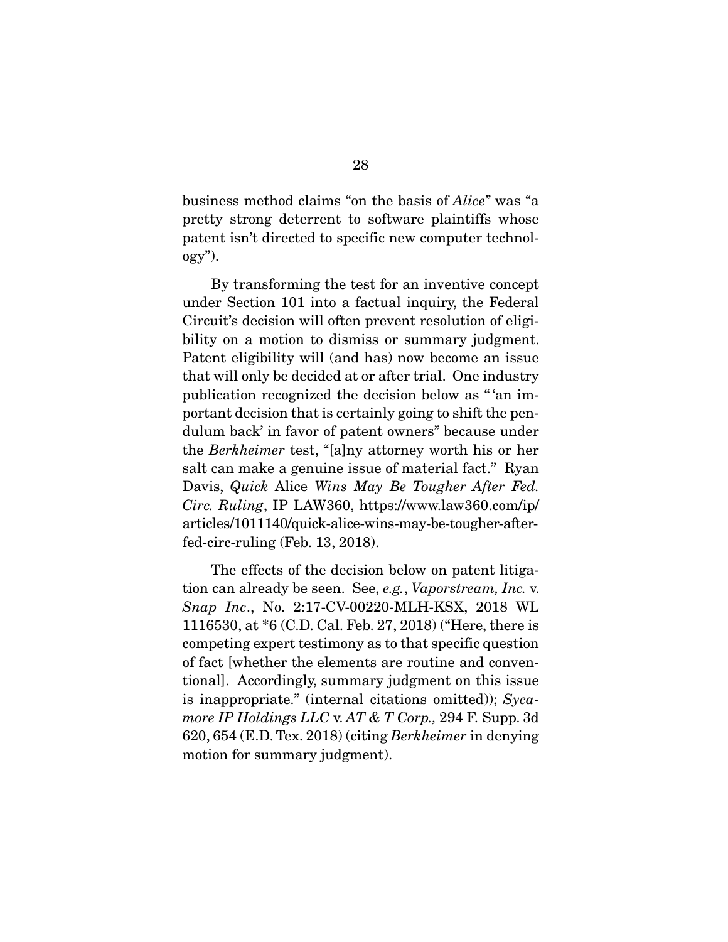business method claims "on the basis of *Alice*" was "a pretty strong deterrent to software plaintiffs whose patent isn't directed to specific new computer technology").

 By transforming the test for an inventive concept under Section 101 into a factual inquiry, the Federal Circuit's decision will often prevent resolution of eligibility on a motion to dismiss or summary judgment. Patent eligibility will (and has) now become an issue that will only be decided at or after trial. One industry publication recognized the decision below as " 'an important decision that is certainly going to shift the pendulum back' in favor of patent owners" because under the *Berkheimer* test, "[a]ny attorney worth his or her salt can make a genuine issue of material fact." Ryan Davis, *Quick* Alice *Wins May Be Tougher After Fed. Circ. Ruling*, IP LAW360, https://www.law360.com/ip/ articles/1011140/quick-alice-wins-may-be-tougher-afterfed-circ-ruling (Feb. 13, 2018).

 The effects of the decision below on patent litigation can already be seen. See, *e.g.*, *Vaporstream, Inc.* v. *Snap Inc*., No. 2:17-CV-00220-MLH-KSX, 2018 WL 1116530, at \*6 (C.D. Cal. Feb. 27, 2018) ("Here, there is competing expert testimony as to that specific question of fact [whether the elements are routine and conventional]. Accordingly, summary judgment on this issue is inappropriate." (internal citations omitted)); *Sycamore IP Holdings LLC* v. *AT & T Corp.,* 294 F. Supp. 3d 620, 654 (E.D. Tex. 2018) (citing *Berkheimer* in denying motion for summary judgment).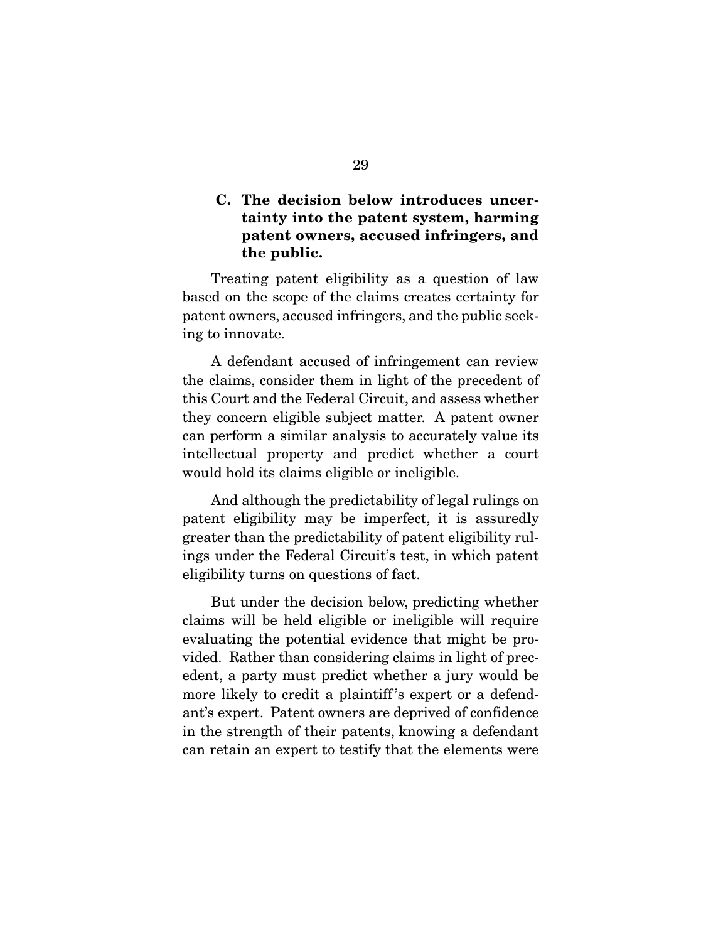# **C. The decision below introduces uncertainty into the patent system, harming patent owners, accused infringers, and the public.**

 Treating patent eligibility as a question of law based on the scope of the claims creates certainty for patent owners, accused infringers, and the public seeking to innovate.

 A defendant accused of infringement can review the claims, consider them in light of the precedent of this Court and the Federal Circuit, and assess whether they concern eligible subject matter. A patent owner can perform a similar analysis to accurately value its intellectual property and predict whether a court would hold its claims eligible or ineligible.

 And although the predictability of legal rulings on patent eligibility may be imperfect, it is assuredly greater than the predictability of patent eligibility rulings under the Federal Circuit's test, in which patent eligibility turns on questions of fact.

 But under the decision below, predicting whether claims will be held eligible or ineligible will require evaluating the potential evidence that might be provided. Rather than considering claims in light of precedent, a party must predict whether a jury would be more likely to credit a plaintiff's expert or a defendant's expert. Patent owners are deprived of confidence in the strength of their patents, knowing a defendant can retain an expert to testify that the elements were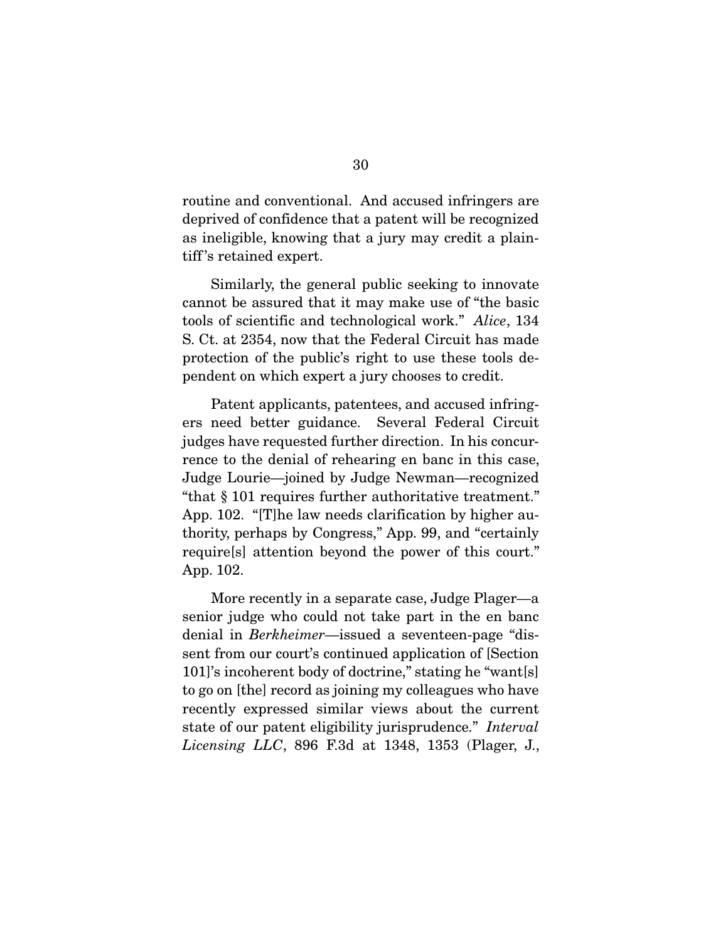routine and conventional. And accused infringers are deprived of confidence that a patent will be recognized as ineligible, knowing that a jury may credit a plaintiff 's retained expert.

 Similarly, the general public seeking to innovate cannot be assured that it may make use of "the basic tools of scientific and technological work." *Alice*, 134 S. Ct. at 2354, now that the Federal Circuit has made protection of the public's right to use these tools dependent on which expert a jury chooses to credit.

 Patent applicants, patentees, and accused infringers need better guidance. Several Federal Circuit judges have requested further direction. In his concurrence to the denial of rehearing en banc in this case, Judge Lourie—joined by Judge Newman—recognized "that § 101 requires further authoritative treatment." App. 102. "[T]he law needs clarification by higher authority, perhaps by Congress," App. 99, and "certainly require[s] attention beyond the power of this court." App. 102.

 More recently in a separate case, Judge Plager—a senior judge who could not take part in the en banc denial in *Berkheimer*—issued a seventeen-page "dissent from our court's continued application of [Section 101]'s incoherent body of doctrine," stating he "want[s] to go on [the] record as joining my colleagues who have recently expressed similar views about the current state of our patent eligibility jurisprudence." *Interval Licensing LLC*, 896 F.3d at 1348, 1353 (Plager, J.,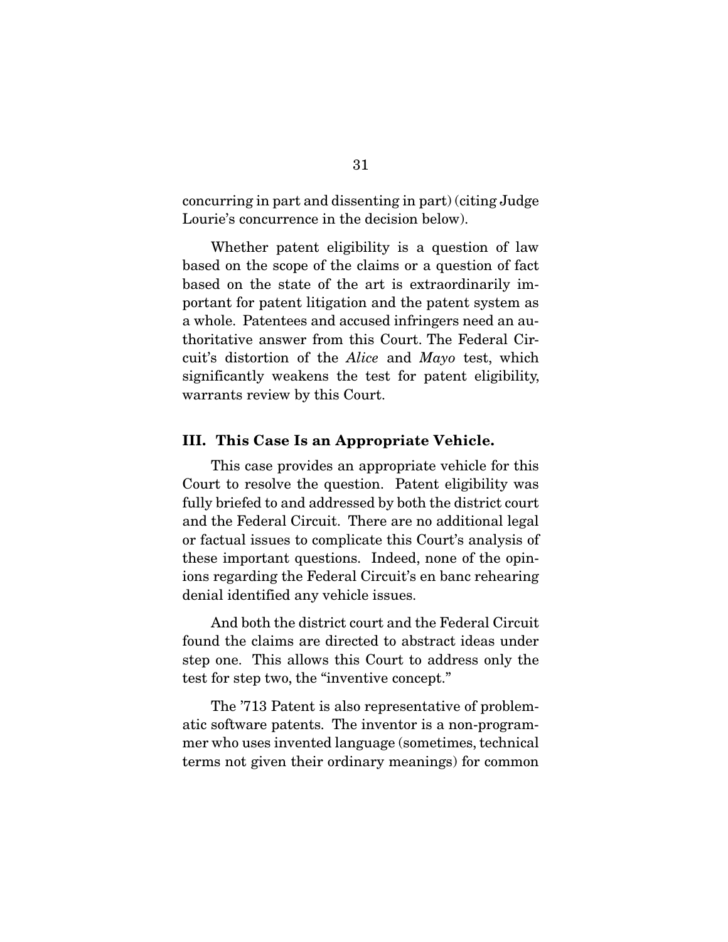concurring in part and dissenting in part) (citing Judge Lourie's concurrence in the decision below).

 Whether patent eligibility is a question of law based on the scope of the claims or a question of fact based on the state of the art is extraordinarily important for patent litigation and the patent system as a whole. Patentees and accused infringers need an authoritative answer from this Court. The Federal Circuit's distortion of the *Alice* and *Mayo* test, which significantly weakens the test for patent eligibility, warrants review by this Court.

#### **III. This Case Is an Appropriate Vehicle.**

 This case provides an appropriate vehicle for this Court to resolve the question. Patent eligibility was fully briefed to and addressed by both the district court and the Federal Circuit. There are no additional legal or factual issues to complicate this Court's analysis of these important questions. Indeed, none of the opinions regarding the Federal Circuit's en banc rehearing denial identified any vehicle issues.

 And both the district court and the Federal Circuit found the claims are directed to abstract ideas under step one. This allows this Court to address only the test for step two, the "inventive concept."

 The '713 Patent is also representative of problematic software patents. The inventor is a non-programmer who uses invented language (sometimes, technical terms not given their ordinary meanings) for common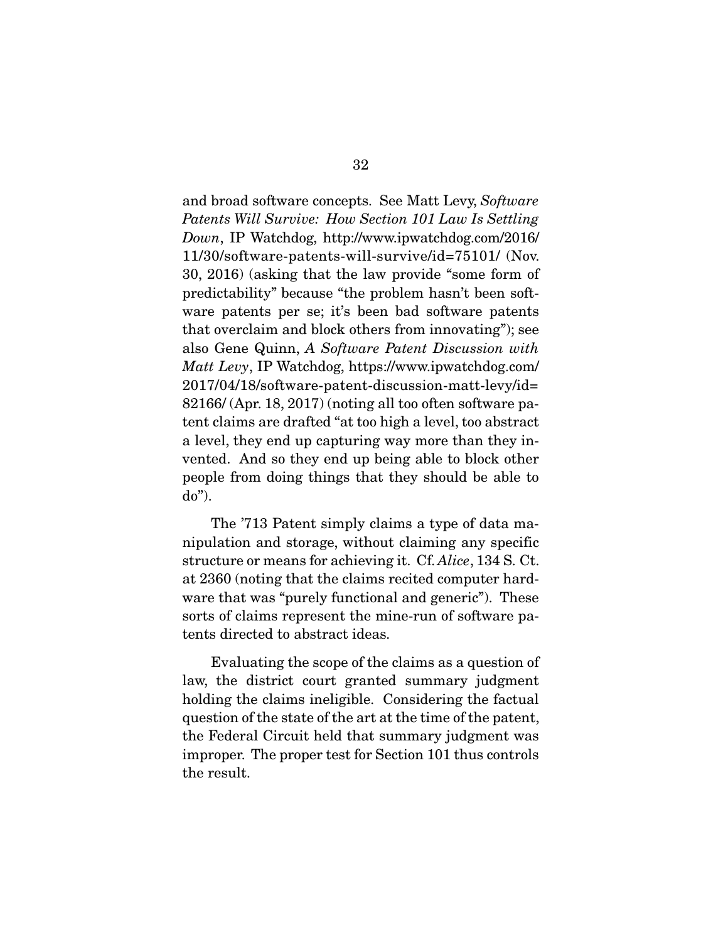and broad software concepts. See Matt Levy, *Software Patents Will Survive: How Section 101 Law Is Settling Down*, IP Watchdog, http://www.ipwatchdog.com/2016/ 11/30/software-patents-will-survive/id=75101/ (Nov. 30, 2016) (asking that the law provide "some form of predictability" because "the problem hasn't been software patents per se; it's been bad software patents that overclaim and block others from innovating"); see also Gene Quinn, *A Software Patent Discussion with Matt Levy*, IP Watchdog, https://www.ipwatchdog.com/ 2017/04/18/software-patent-discussion-matt-levy/id= 82166/ (Apr. 18, 2017) (noting all too often software patent claims are drafted "at too high a level, too abstract a level, they end up capturing way more than they invented. And so they end up being able to block other people from doing things that they should be able to do").

 The '713 Patent simply claims a type of data manipulation and storage, without claiming any specific structure or means for achieving it. Cf. *Alice*, 134 S. Ct. at 2360 (noting that the claims recited computer hardware that was "purely functional and generic"). These sorts of claims represent the mine-run of software patents directed to abstract ideas.

 Evaluating the scope of the claims as a question of law, the district court granted summary judgment holding the claims ineligible. Considering the factual question of the state of the art at the time of the patent, the Federal Circuit held that summary judgment was improper. The proper test for Section 101 thus controls the result.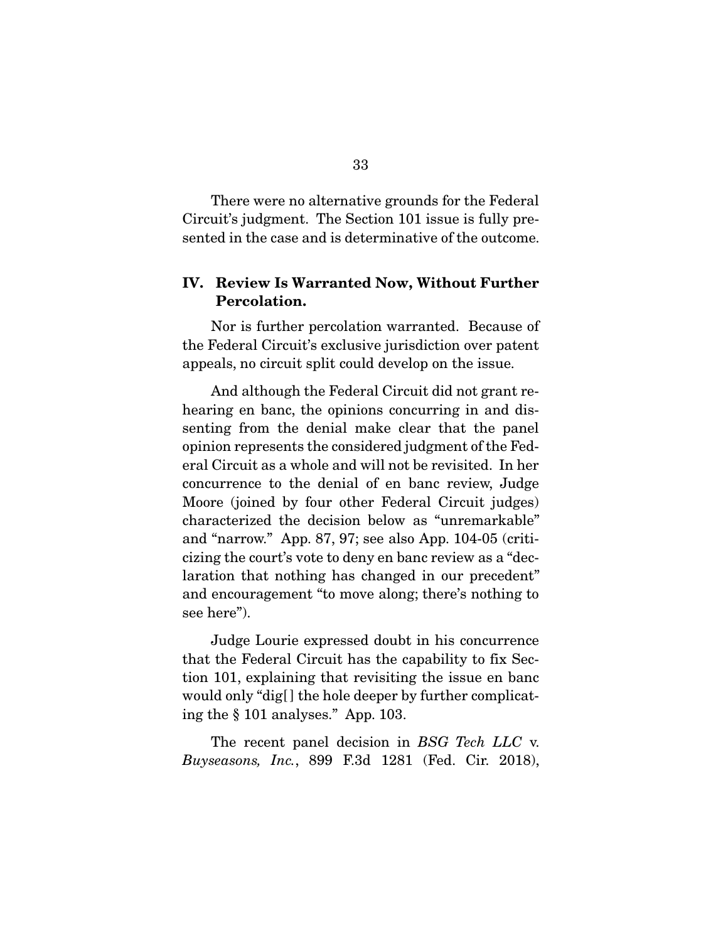There were no alternative grounds for the Federal Circuit's judgment. The Section 101 issue is fully presented in the case and is determinative of the outcome.

## **IV. Review Is Warranted Now, Without Further Percolation.**

 Nor is further percolation warranted. Because of the Federal Circuit's exclusive jurisdiction over patent appeals, no circuit split could develop on the issue.

 And although the Federal Circuit did not grant rehearing en banc, the opinions concurring in and dissenting from the denial make clear that the panel opinion represents the considered judgment of the Federal Circuit as a whole and will not be revisited. In her concurrence to the denial of en banc review, Judge Moore (joined by four other Federal Circuit judges) characterized the decision below as "unremarkable" and "narrow." App. 87, 97; see also App. 104-05 (criticizing the court's vote to deny en banc review as a "declaration that nothing has changed in our precedent" and encouragement "to move along; there's nothing to see here").

 Judge Lourie expressed doubt in his concurrence that the Federal Circuit has the capability to fix Section 101, explaining that revisiting the issue en banc would only "dig[ ] the hole deeper by further complicating the § 101 analyses." App. 103.

 The recent panel decision in *BSG Tech LLC* v. *Buyseasons, Inc.*, 899 F.3d 1281 (Fed. Cir. 2018),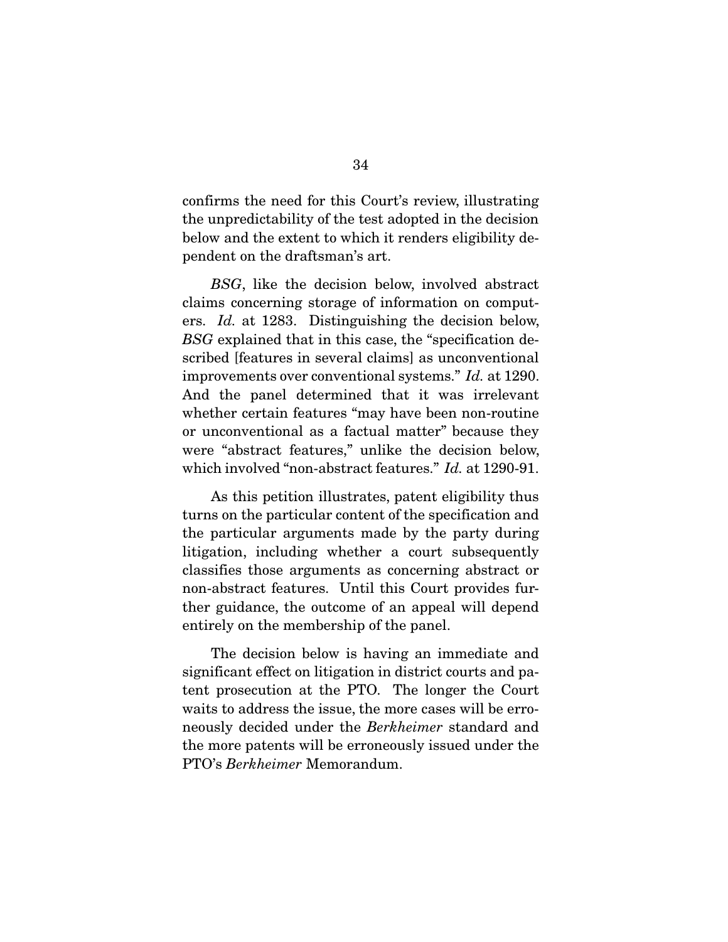confirms the need for this Court's review, illustrating the unpredictability of the test adopted in the decision below and the extent to which it renders eligibility dependent on the draftsman's art.

*BSG*, like the decision below, involved abstract claims concerning storage of information on computers. *Id.* at 1283. Distinguishing the decision below, *BSG* explained that in this case, the "specification described [features in several claims] as unconventional improvements over conventional systems." *Id.* at 1290. And the panel determined that it was irrelevant whether certain features "may have been non-routine or unconventional as a factual matter" because they were "abstract features," unlike the decision below, which involved "non-abstract features." *Id.* at 1290-91.

 As this petition illustrates, patent eligibility thus turns on the particular content of the specification and the particular arguments made by the party during litigation, including whether a court subsequently classifies those arguments as concerning abstract or non-abstract features. Until this Court provides further guidance, the outcome of an appeal will depend entirely on the membership of the panel.

 The decision below is having an immediate and significant effect on litigation in district courts and patent prosecution at the PTO. The longer the Court waits to address the issue, the more cases will be erroneously decided under the *Berkheimer* standard and the more patents will be erroneously issued under the PTO's *Berkheimer* Memorandum.